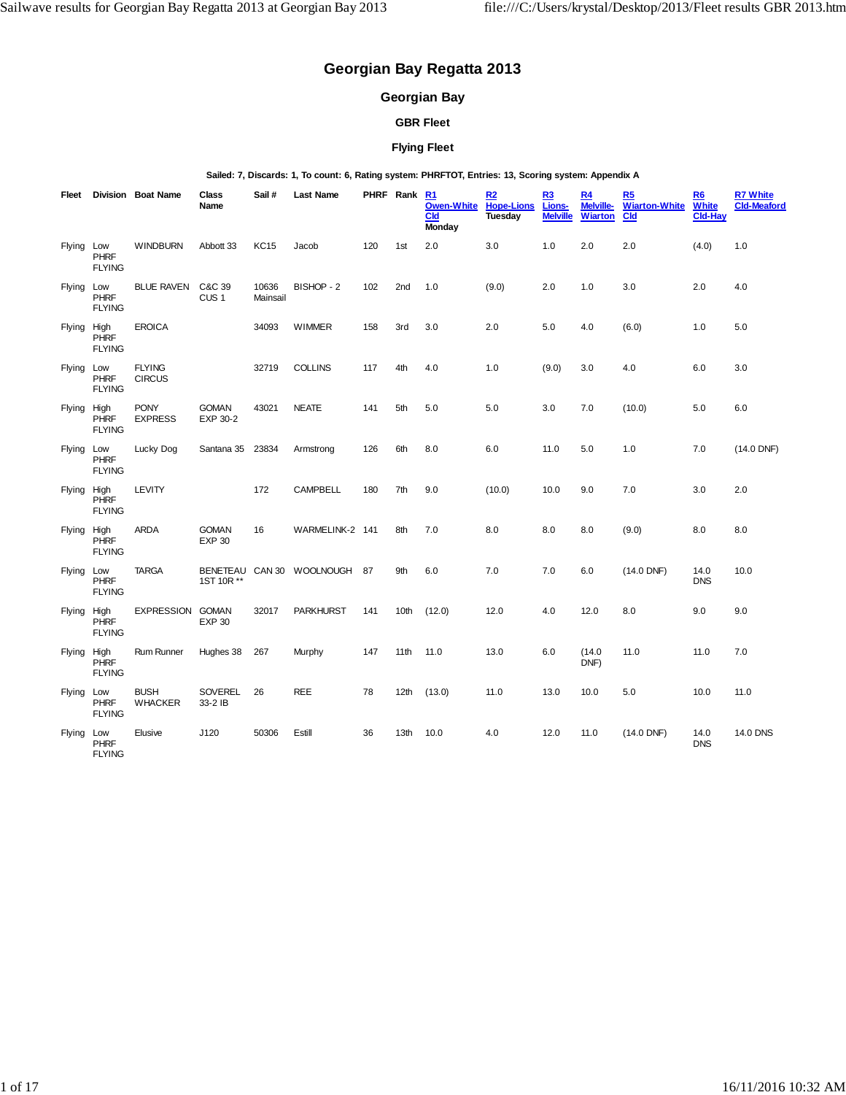# **Georgian Bay Regatta 2013**

## **Georgian Bay**

## **GBR Fleet**

## **Flying Fleet**

#### **Sailed: 7, Discards: 1, To count: 6, Rating system: PHRFTOT, Entries: 13, Scoring system: Appendix A**

| Fleet       |                              | <b>Division Boat Name</b>      | Class<br>Name                 | Sail#             | <b>Last Name</b>             |     | PHRF Rank | R1<br><b>Owen-White</b><br><b>Cld</b><br>Monday | R2<br><b>Hope-Lions</b><br>Tuesday | R3<br>Lions-<br><b>Melville</b> | R <sub>4</sub><br>Melville-<br><b>Wiarton</b> | R5<br><b>Wiarton-White</b><br>C <sub>Id</sub> | R6<br>White<br><b>Cld-Hay</b> | <b>R7 White</b><br><b>Cld-Meaford</b> |
|-------------|------------------------------|--------------------------------|-------------------------------|-------------------|------------------------------|-----|-----------|-------------------------------------------------|------------------------------------|---------------------------------|-----------------------------------------------|-----------------------------------------------|-------------------------------|---------------------------------------|
| Flying Low  | <b>PHRF</b><br><b>FLYING</b> | <b>WINDBURN</b>                | Abbott 33                     | <b>KC15</b>       | Jacob                        | 120 | 1st       | 2.0                                             | 3.0                                | 1.0                             | 2.0                                           | 2.0                                           | (4.0)                         | 1.0                                   |
| Flying Low  | PHRF<br><b>FLYING</b>        | <b>BLUE RAVEN</b>              | C&C 39<br>CUS <sub>1</sub>    | 10636<br>Mainsail | BISHOP - 2                   | 102 | 2nd       | 1.0                                             | (9.0)                              | 2.0                             | 1.0                                           | 3.0                                           | 2.0                           | 4.0                                   |
| Flying High | <b>PHRF</b><br><b>FLYING</b> | <b>EROICA</b>                  |                               | 34093             | <b>WIMMER</b>                | 158 | 3rd       | 3.0                                             | 2.0                                | 5.0                             | 4.0                                           | (6.0)                                         | 1.0                           | 5.0                                   |
| Flying Low  | <b>PHRF</b><br><b>FLYING</b> | <b>FLYING</b><br><b>CIRCUS</b> |                               | 32719             | <b>COLLINS</b>               | 117 | 4th       | 4.0                                             | 1.0                                | (9.0)                           | 3.0                                           | 4.0                                           | 6.0                           | 3.0                                   |
| Flying High | <b>PHRF</b><br><b>FLYING</b> | <b>PONY</b><br><b>EXPRESS</b>  | <b>GOMAN</b><br>EXP 30-2      | 43021             | <b>NEATE</b>                 | 141 | 5th       | 5.0                                             | 5.0                                | 3.0                             | 7.0                                           | (10.0)                                        | 5.0                           | 6.0                                   |
| Flying Low  | <b>PHRF</b><br><b>FLYING</b> | Lucky Dog                      | Santana 35                    | 23834             | Armstrong                    | 126 | 6th       | 8.0                                             | 6.0                                | 11.0                            | 5.0                                           | 1.0                                           | 7.0                           | (14.0 DNF)                            |
| Flying High | <b>PHRF</b><br><b>FLYING</b> | LEVITY                         |                               | 172               | <b>CAMPBELL</b>              | 180 | 7th       | 9.0                                             | (10.0)                             | 10.0                            | 9.0                                           | 7.0                                           | 3.0                           | 2.0                                   |
| Flying High | <b>PHRF</b><br><b>FLYING</b> | <b>ARDA</b>                    | <b>GOMAN</b><br><b>EXP 30</b> | 16                | WARMELINK-2 141              |     | 8th       | 7.0                                             | 8.0                                | 8.0                             | 8.0                                           | (9.0)                                         | 8.0                           | 8.0                                   |
| Flying Low  | <b>PHRF</b><br><b>FLYING</b> | <b>TARGA</b>                   | 1ST 10R **                    |                   | BENETEAU CAN 30 WOOLNOUGH 87 |     | 9th       | 6.0                                             | 7.0                                | 7.0                             | 6.0                                           | $(14.0$ DNF)                                  | 14.0<br><b>DNS</b>            | 10.0                                  |
| Flying High | <b>PHRF</b><br><b>FLYING</b> | <b>EXPRESSION</b>              | <b>GOMAN</b><br><b>EXP 30</b> | 32017             | <b>PARKHURST</b>             | 141 | 10th      | (12.0)                                          | 12.0                               | 4.0                             | 12.0                                          | 8.0                                           | 9.0                           | 9.0                                   |
| Flying High | <b>PHRF</b><br><b>FLYING</b> | Rum Runner                     | Hughes 38                     | 267               | Murphy                       | 147 | 11th      | 11.0                                            | 13.0                               | 6.0                             | (14.0)<br>DNF)                                | 11.0                                          | 11.0                          | 7.0                                   |
| Flying Low  | <b>PHRF</b><br><b>FLYING</b> | <b>BUSH</b><br><b>WHACKER</b>  | SOVEREL<br>33-2 IB            | 26                | <b>REE</b>                   | 78  | 12th      | (13.0)                                          | 11.0                               | 13.0                            | 10.0                                          | 5.0                                           | 10.0                          | 11.0                                  |
| Flying Low  | <b>PHRF</b><br><b>FLYING</b> | Elusive                        | J120                          | 50306             | Estill                       | 36  | 13th      | 10.0                                            | 4.0                                | 12.0                            | 11.0                                          | $(14.0$ DNF)                                  | 14.0<br><b>DNS</b>            | 14.0 DNS                              |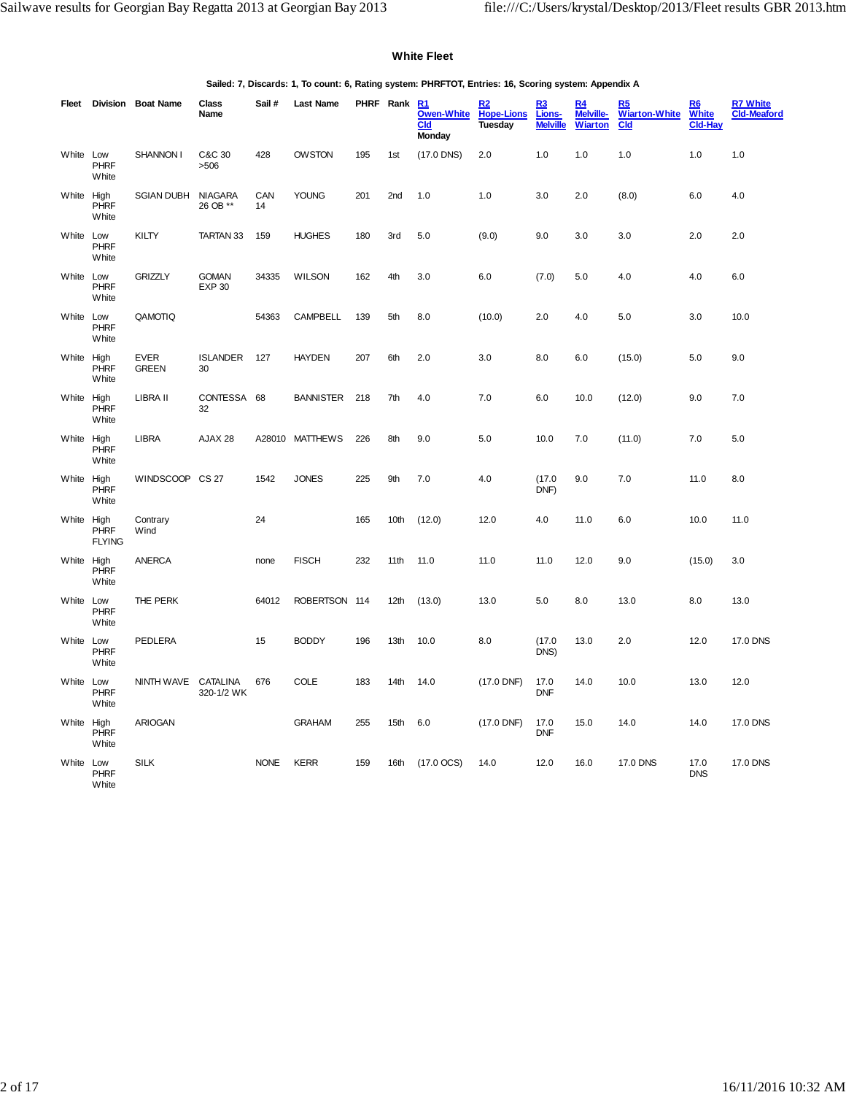#### **White Fleet**

**Sailed: 7, Discards: 1, To count: 6, Rating system: PHRFTOT, Entries: 16, Scoring system: Appendix A**

|            |                                      | Fleet Division Boat Name    | Class<br>Name                 | Sail #      | <b>Last Name</b> |       | PHRF Rank R1     | <b>Owen-White</b><br><b>Cld</b><br>Monday | <u>R2</u><br><b>Hope-Lions</b><br>Tuesday | R3<br>Lions-<br><b>Melville</b> | R <sub>4</sub><br>Melville-<br><b>Wiarton</b> | R5<br><b>Wiarton-White</b><br><b>Cld</b> | R6<br><b>White</b><br><b>Cld-Hay</b> | <b>R7 White</b><br><b>Cld-Meaford</b> |
|------------|--------------------------------------|-----------------------------|-------------------------------|-------------|------------------|-------|------------------|-------------------------------------------|-------------------------------------------|---------------------------------|-----------------------------------------------|------------------------------------------|--------------------------------------|---------------------------------------|
| White Low  | <b>PHRF</b><br>White                 | <b>SHANNON I</b>            | C&C 30<br>>506                | 428         | <b>OWSTON</b>    | 195   | 1 <sub>st</sub>  | $(17.0$ DNS)                              | 2.0                                       | 1.0                             | 1.0                                           | 1.0                                      | 1.0                                  | 1.0                                   |
| White High | <b>PHRF</b><br>White                 | <b>SGIAN DUBH</b>           | <b>NIAGARA</b><br>26 OB **    | CAN<br>14   | <b>YOUNG</b>     | 201   | 2nd              | 1.0                                       | 1.0                                       | 3.0                             | 2.0                                           | (8.0)                                    | 6.0                                  | 4.0                                   |
| White Low  | <b>PHRF</b><br>White                 | KILTY                       | TARTAN 33                     | 159         | <b>HUGHES</b>    | 180   | 3rd              | 5.0                                       | (9.0)                                     | 9.0                             | 3.0                                           | 3.0                                      | 2.0                                  | 2.0                                   |
| White Low  | <b>PHRF</b><br>White                 | <b>GRIZZLY</b>              | <b>GOMAN</b><br><b>EXP 30</b> | 34335       | <b>WILSON</b>    | 162   | 4th              | 3.0                                       | 6.0                                       | (7.0)                           | 5.0                                           | 4.0                                      | 4.0                                  | 6.0                                   |
| White Low  | <b>PHRF</b><br>White                 | QAMOTIQ                     |                               | 54363       | <b>CAMPBELL</b>  | 139   | 5th              | 8.0                                       | (10.0)                                    | 2.0                             | 4.0                                           | 5.0                                      | 3.0                                  | 10.0                                  |
| White High | <b>PHRF</b><br>White                 | <b>EVER</b><br><b>GREEN</b> | <b>ISLANDER</b><br>30         | 127         | <b>HAYDEN</b>    | 207   | 6th              | 2.0                                       | 3.0                                       | 8.0                             | 6.0                                           | (15.0)                                   | 5.0                                  | 9.0                                   |
| White      | High<br><b>PHRF</b><br>White         | LIBRA II                    | CONTESSA<br>32                | 68          | <b>BANNISTER</b> | 218   | 7th              | 4.0                                       | 7.0                                       | 6.0                             | 10.0                                          | (12.0)                                   | 9.0                                  | 7.0                                   |
| White High | <b>PHRF</b><br>White                 | <b>LIBRA</b>                | AJAX 28                       | A28010      | MATTHEWS         | 226   | 8th              | 9.0                                       | 5.0                                       | 10.0                            | 7.0                                           | (11.0)                                   | 7.0                                  | 5.0                                   |
| White High | <b>PHRF</b><br>White                 | WINDSCOOP CS 27             |                               | 1542        | <b>JONES</b>     | 225   | 9th              | 7.0                                       | 4.0                                       | (17.0)<br>DNF)                  | 9.0                                           | 7.0                                      | 11.0                                 | 8.0                                   |
| White      | High<br><b>PHRF</b><br><b>FLYING</b> | Contrary<br>Wind            |                               | 24          |                  | 165   | 10th             | (12.0)                                    | 12.0                                      | 4.0                             | 11.0                                          | 6.0                                      | 10.0                                 | 11.0                                  |
| White High | <b>PHRF</b><br>White                 | <b>ANERCA</b>               |                               | none        | <b>FISCH</b>     | 232   | 11th             | 11.0                                      | 11.0                                      | 11.0                            | 12.0                                          | 9.0                                      | (15.0)                               | 3.0                                   |
| White Low  | <b>PHRF</b><br>White                 | THE PERK                    |                               | 64012       | <b>ROBERTSON</b> | - 114 | 12 <sub>th</sub> | (13.0)                                    | 13.0                                      | 5.0                             | 8.0                                           | 13.0                                     | 8.0                                  | 13.0                                  |
| White Low  | PHRF<br>White                        | PEDLERA                     |                               | 15          | <b>BODDY</b>     | 196   | 13th             | 10.0                                      | 8.0                                       | (17.0)<br>DNS)                  | 13.0                                          | 2.0                                      | 12.0                                 | 17.0 DNS                              |
| White Low  | <b>PHRF</b><br>White                 | NINTH WAVE                  | <b>CATALINA</b><br>320-1/2 WK | 676         | <b>COLE</b>      | 183   | 14th             | 14.0                                      | (17.0 DNF)                                | 17.0<br><b>DNF</b>              | 14.0                                          | 10.0                                     | 13.0                                 | 12.0                                  |
| White      | High<br><b>PHRF</b><br>White         | <b>ARIOGAN</b>              |                               |             | <b>GRAHAM</b>    | 255   | 15th             | 6.0                                       | (17.0 DNF)                                | 17.0<br><b>DNF</b>              | 15.0                                          | 14.0                                     | 14.0                                 | 17.0 DNS                              |
| White Low  | <b>PHRF</b><br>White                 | <b>SILK</b>                 |                               | <b>NONE</b> | <b>KERR</b>      | 159   | 16th             | $(17.0 \, \text{OCS})$                    | 14.0                                      | 12.0                            | 16.0                                          | 17.0 DNS                                 | 17.0<br><b>DNS</b>                   | 17.0 DNS                              |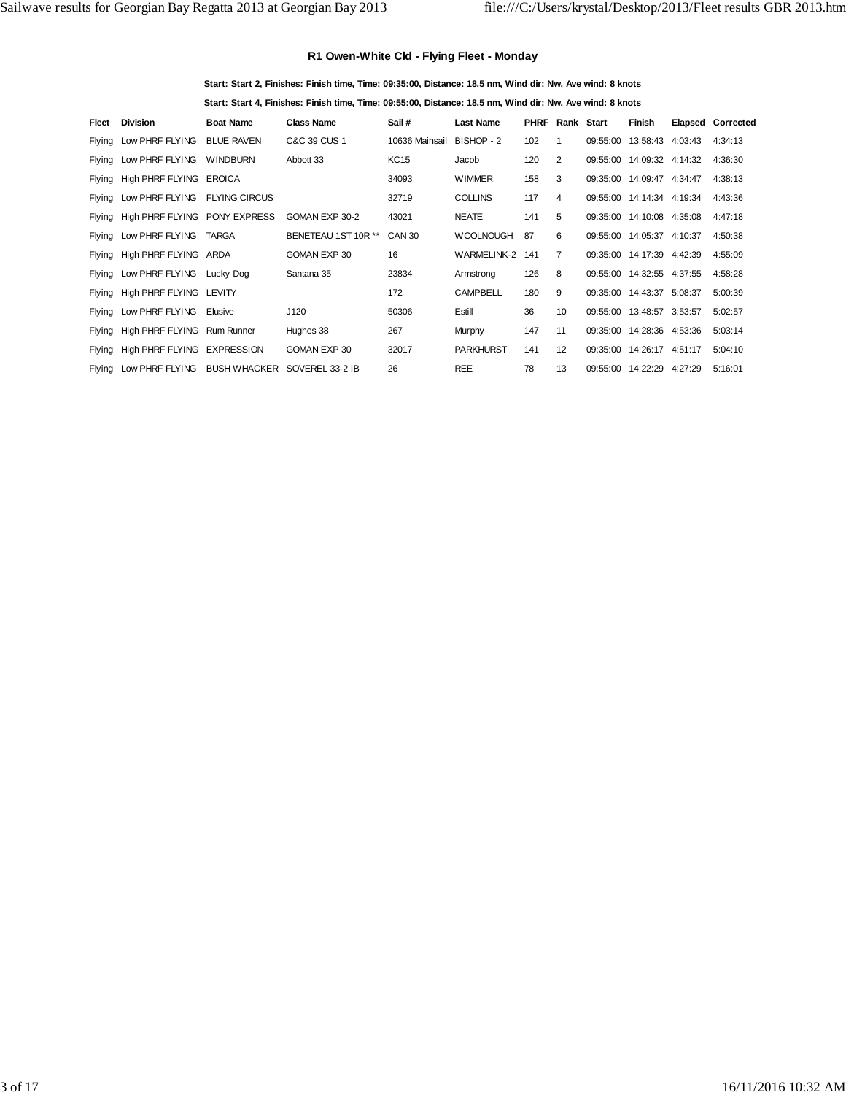## **R1 Owen-White Cld - Flying Fleet - Monday**

**Start: Start 2, Finishes: Finish time, Time: 09:35:00, Distance: 18.5 nm, Wind dir: Nw, Ave wind: 8 knots**

**Start: Start 4, Finishes: Finish time, Time: 09:55:00, Distance: 18.5 nm, Wind dir: Nw, Ave wind: 8 knots**

| Fleet | <b>Division</b>                      | <b>Boat Name</b>    | <b>Class Name</b>   | Sail #            | <b>Last Name</b>   | <b>PHRF</b> | Rank Start      |          | Finish                    |         | Elapsed Corrected |
|-------|--------------------------------------|---------------------|---------------------|-------------------|--------------------|-------------|-----------------|----------|---------------------------|---------|-------------------|
|       | Flying Low PHRF FLYING               | <b>BLUE RAVEN</b>   | C&C 39 CUS 1        | 10636 Mainsail    | BISHOP - 2         | 102         |                 | 09:55:00 | 13:58:43 4:03:43          |         | 4:34:13           |
|       | Flying Low PHRF FLYING               | <b>WINDBURN</b>     | Abbott 33           | <b>KC15</b>       | Jacob              | 120         | 2               |          | 09:55:00 14:09:32 4:14:32 |         | 4:36:30           |
|       | Flying High PHRF FLYING EROICA       |                     |                     | 34093             | <b>WIMMER</b>      | 158         | 3               | 09:35:00 | 14:09:47 4:34:47          |         | 4:38:13           |
|       | Flying Low PHRF FLYING FLYING CIRCUS |                     |                     | 32719             | <b>COLLINS</b>     | 117         | 4               |          | 09:55:00 14:14:34 4:19:34 |         | 4:43:36           |
|       | Flying High PHRF FLYING PONY EXPRESS |                     | GOMAN EXP 30-2      | 43021             | <b>NEATE</b>       | 141         | 5               |          | 09:35:00 14:10:08 4:35:08 |         | 4:47:18           |
|       | Flying Low PHRF FLYING               | TARGA               | BENETEAU 1ST 10R ** | CAN <sub>30</sub> | <b>WOOLNOUGH</b>   | 87          | 6               | 09:55:00 | 14:05:37 4:10:37          |         | 4:50:38           |
|       | Flying High PHRF FLYING ARDA         |                     | GOMAN EXP 30        | 16                | <b>WARMELINK-2</b> | 141         | $\overline{7}$  | 09:35:00 | 14:17:39 4:42:39          |         | 4:55:09           |
|       | Flying Low PHRF FLYING Lucky Dog     |                     | Santana 35          | 23834             | Armstrong          | 126         | 8               | 09:55:00 | 14:32:55 4:37:55          |         | 4:58:28           |
|       | Flying High PHRF FLYING LEVITY       |                     |                     | 172               | <b>CAMPBELL</b>    | 180         | 9               |          | 09:35:00 14:43:37 5:08:37 |         | 5:00:39           |
|       | Flying Low PHRF FLYING               | Elusive             | J120                | 50306             | Estill             | 36          | 10 <sup>1</sup> | 09:55:00 | 13:48:57 3:53:57          |         | 5:02:57           |
|       | Flying High PHRF FLYING Rum Runner   |                     | Hughes 38           | 267               | Murphy             | 147         | 11              | 09:35:00 | 14:28:36 4:53:36          |         | 5:03:14           |
|       | Flying High PHRF FLYING EXPRESSION   |                     | GOMAN EXP 30        | 32017             | <b>PARKHURST</b>   | 141         | 12              |          | 09:35:00 14:26:17 4:51:17 |         | 5:04:10           |
|       | Flying Low PHRF FLYING               | <b>BUSH WHACKER</b> | SOVEREL 33-2 IB     | 26                | <b>REE</b>         | 78          | 13              | 09:55:00 | 14:22:29                  | 4:27:29 | 5:16:01           |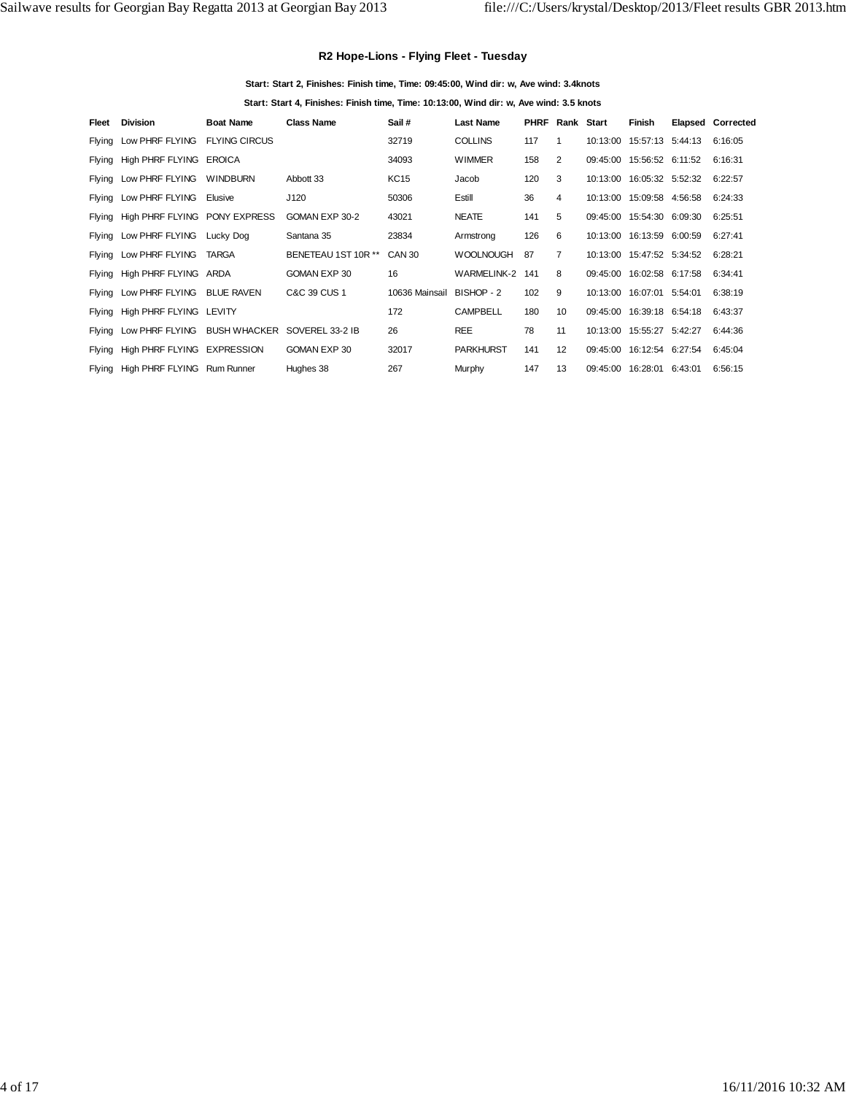## **R2 Hope-Lions - Flying Fleet - Tuesday**

**Start: Start 2, Finishes: Finish time, Time: 09:45:00, Wind dir: w, Ave wind: 3.4knots**

**Start: Start 4, Finishes: Finish time, Time: 10:13:00, Wind dir: w, Ave wind: 3.5 knots**

| Fleet  | <b>Division</b>                              | <b>Boat Name</b> | <b>Class Name</b>   | Sail #         | <b>Last Name</b>   | <b>PHRF</b> | Rank Start |          | Finish                      | <b>Elapsed Corrected</b> |
|--------|----------------------------------------------|------------------|---------------------|----------------|--------------------|-------------|------------|----------|-----------------------------|--------------------------|
| Flying | Low PHRF FLYING FLYING CIRCUS                |                  |                     | 32719          | <b>COLLINS</b>     | 117         |            |          | 10:13:00  15:57:13  5:44:13 | 6:16:05                  |
|        | Flying High PHRF FLYING EROICA               |                  |                     | 34093          | <b>WIMMER</b>      | 158         | 2          |          | 09:45:00 15:56:52 6:11:52   | 6:16:31                  |
| Flying | Low PHRF FLYING WINDBURN                     |                  | Abbott 33           | <b>KC15</b>    | Jacob              | 120         | 3          |          | 10:13:00  16:05:32  5:52:32 | 6:22:57                  |
|        | Flying Low PHRF FLYING                       | Elusive          | J120                | 50306          | Estill             | 36          | 4          |          | 10:13:00  15:09:58  4:56:58 | 6:24:33                  |
|        | Flying High PHRF FLYING PONY EXPRESS         |                  | GOMAN EXP 30-2      | 43021          | <b>NEATE</b>       | 141         | 5          |          | 09:45:00 15:54:30 6:09:30   | 6:25:51                  |
|        | Flying Low PHRF FLYING Lucky Dog             |                  | Santana 35          | 23834          | Armstrong          | 126         | 6          |          | 10:13:00  16:13:59  6:00:59 | 6:27:41                  |
|        | Flying Low PHRF FLYING                       | TARGA            | BENETEAU 1ST 10R ** | CAN 30         | <b>WOOLNOUGH</b>   | 87          | 7          |          | 10:13:00  15:47:52  5:34:52 | 6:28:21                  |
|        | Flying High PHRF FLYING ARDA                 |                  | GOMAN EXP 30        | 16             | <b>WARMELINK-2</b> | 141         | 8          |          | 09:45:00 16:02:58 6:17:58   | 6:34:41                  |
|        | Flying Low PHRF FLYING BLUE RAVEN            |                  | C&C 39 CUS 1        | 10636 Mainsail | BISHOP - 2         | 102         | 9          |          | 10:13:00  16:07:01  5:54:01 | 6:38:19                  |
| Flying | High PHRF FLYING LEVITY                      |                  |                     | 172            | <b>CAMPBELL</b>    | 180         | 10         |          | 09:45:00 16:39:18 6:54:18   | 6:43:37                  |
| Flying | Low PHRF FLYING BUSH WHACKER SOVEREL 33-2 IB |                  |                     | 26             | <b>REE</b>         | 78          | 11         | 10:13:00 | 15:55:27 5:42:27            | 6:44:36                  |
| Flying | High PHRF FLYING EXPRESSION                  |                  | GOMAN EXP 30        | 32017          | <b>PARKHURST</b>   | 141         | 12         |          | 09:45:00 16:12:54 6:27:54   | 6:45:04                  |
| Flying | High PHRF FLYING Rum Runner                  |                  | Hughes 38           | 267            | Murphy             | 147         | 13         | 09:45:00 | 16:28:01 6:43:01            | 6:56:15                  |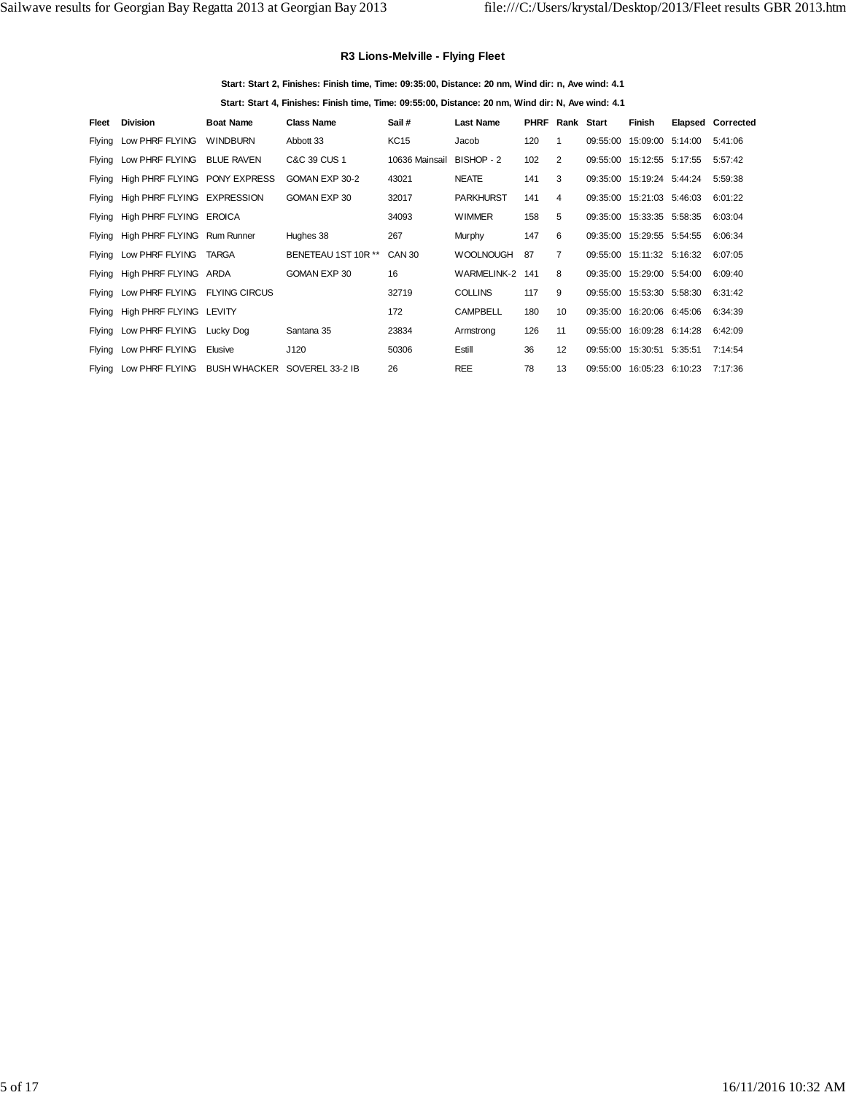## **R3 Lions-Melville - Flying Fleet**

**Start: Start 2, Finishes: Finish time, Time: 09:35:00, Distance: 20 nm, Wind dir: n, Ave wind: 4.1**

**Start: Start 4, Finishes: Finish time, Time: 09:55:00, Distance: 20 nm, Wind dir: N, Ave wind: 4.1**

| Fleet | <b>Division</b>                      | <b>Boat Name</b> | <b>Class Name</b>            | Sail #         | <b>Last Name</b> | <b>PHRF</b> | Rank           | Start    | Finish                    | <b>Elapsed Corrected</b> |
|-------|--------------------------------------|------------------|------------------------------|----------------|------------------|-------------|----------------|----------|---------------------------|--------------------------|
|       | Flying Low PHRF FLYING               | <b>WINDBURN</b>  | Abbott 33                    | <b>KC15</b>    | Jacob            | 120         | 1              | 09:55:00 | 15:09:00 5:14:00          | 5:41:06                  |
|       | Flying Low PHRF FLYING BLUE RAVEN    |                  | C&C 39 CUS 1                 | 10636 Mainsail | BISHOP - 2       | 102         | 2              |          | 09:55:00 15:12:55 5:17:55 | 5:57:42                  |
|       | Flying High PHRF FLYING PONY EXPRESS |                  | GOMAN EXP 30-2               | 43021          | <b>NEATE</b>     | 141         | 3              |          | 09:35:00 15:19:24 5:44:24 | 5:59:38                  |
|       | Flying High PHRF FLYING EXPRESSION   |                  | GOMAN EXP 30                 | 32017          | <b>PARKHURST</b> | 141         | 4              | 09:35:00 | 15:21:03 5:46:03          | 6:01:22                  |
|       | Flying High PHRF FLYING EROICA       |                  |                              | 34093          | <b>WIMMER</b>    | 158         | 5              |          | 09:35:00 15:33:35 5:58:35 | 6:03:04                  |
|       | Flying High PHRF FLYING Rum Runner   |                  | Hughes 38                    | 267            | Murphy           | 147         | 6              |          | 09:35:00 15:29:55 5:54:55 | 6:06:34                  |
|       | Flying Low PHRF FLYING               | <b>TARGA</b>     | BENETEAU 1ST 10R **          | <b>CAN 30</b>  | <b>WOOLNOUGH</b> | 87          | $\overline{7}$ |          | 09:55:00 15:11:32 5:16:32 | 6:07:05                  |
|       | Flying High PHRF FLYING ARDA         |                  | GOMAN EXP 30                 | 16             | WARMELINK-2      | 141         | 8              |          | 09:35:00 15:29:00 5:54:00 | 6:09:40                  |
|       | Flying Low PHRF FLYING FLYING CIRCUS |                  |                              | 32719          | <b>COLLINS</b>   | 117         | 9              |          | 09:55:00 15:53:30 5:58:30 | 6:31:42                  |
|       | Flying High PHRF FLYING LEVITY       |                  |                              | 172            | <b>CAMPBELL</b>  | 180         | 10             | 09:35:00 | 16:20:06 6:45:06          | 6:34:39                  |
|       | Flying Low PHRF FLYING Lucky Dog     |                  | Santana 35                   | 23834          | Armstrong        | 126         | 11             | 09:55:00 | 16:09:28 6:14:28          | 6:42:09                  |
|       | Flying Low PHRF FLYING               | Elusive          | J120                         | 50306          | Estill           | 36          | 12             |          | 09:55:00 15:30:51 5:35:51 | 7:14:54                  |
|       | Flying Low PHRF FLYING               |                  | BUSH WHACKER SOVEREL 33-2 IB | 26             | <b>REE</b>       | 78          | 13             | 09:55:00 | 16:05:23 6:10:23          | 7:17:36                  |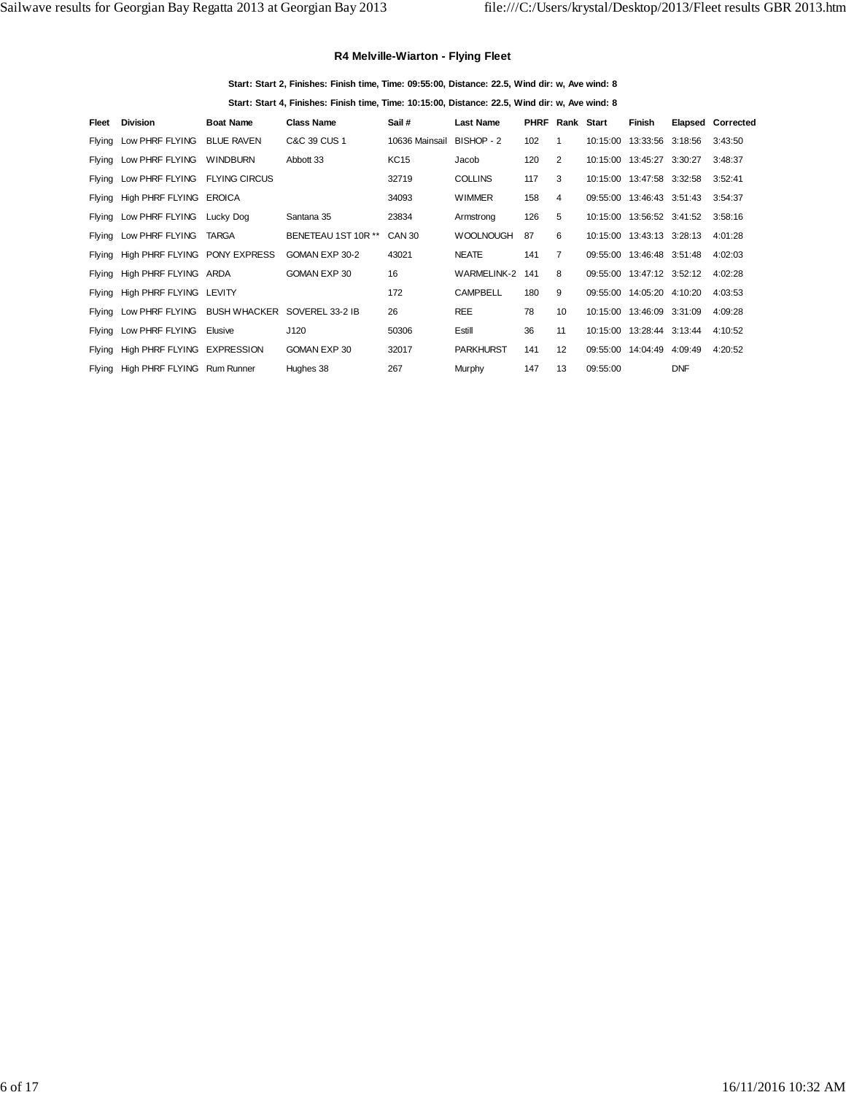## **R4 Melville-Wiarton - Flying Fleet**

**Start: Start 2, Finishes: Finish time, Time: 09:55:00, Distance: 22.5, Wind dir: w, Ave wind: 8**

**Start: Start 4, Finishes: Finish time, Time: 10:15:00, Distance: 22.5, Wind dir: w, Ave wind: 8**

| Fleet | <b>Division</b>                                     | <b>Boat Name</b>  | <b>Class Name</b>   | Sail #         | <b>Last Name</b> | <b>PHRF</b> | Rank Start      |          | Finish                      |            | Elapsed Corrected |
|-------|-----------------------------------------------------|-------------------|---------------------|----------------|------------------|-------------|-----------------|----------|-----------------------------|------------|-------------------|
|       | Flying Low PHRF FLYING                              | <b>BLUE RAVEN</b> | C&C 39 CUS 1        | 10636 Mainsail | BISHOP - 2       | 102         | 1               | 10:15:00 | 13:33:56 3:18:56            |            | 3:43:50           |
|       | Flying Low PHRF FLYING                              | <b>WINDBURN</b>   | Abbott 33           | KC15           | Jacob            | 120         | 2               |          | 10:15:00  13:45:27  3:30:27 |            | 3:48:37           |
|       | Flying Low PHRF FLYING FLYING CIRCUS                |                   |                     | 32719          | <b>COLLINS</b>   | 117         | 3               |          | 10:15:00  13:47:58  3:32:58 |            | 3:52:41           |
|       | Flying High PHRF FLYING EROICA                      |                   |                     | 34093          | <b>WIMMER</b>    | 158         | 4               |          | 09:55:00 13:46:43 3:51:43   |            | 3:54:37           |
|       | Flying Low PHRF FLYING Lucky Dog                    |                   | Santana 35          | 23834          | Armstrong        | 126         | 5               | 10:15:00 | 13:56:52 3:41:52            |            | 3:58:16           |
|       | Flying Low PHRF FLYING                              | TARGA             | BENETEAU 1ST 10R ** | CAN 30         | <b>WOOLNOUGH</b> | 87          | 6               |          | 10:15:00  13:43:13  3:28:13 |            | 4:01:28           |
|       | Flying High PHRF FLYING PONY EXPRESS                |                   | GOMAN EXP 30-2      | 43021          | <b>NEATE</b>     | 141         | $\overline{7}$  |          | 09:55:00 13:46:48 3:51:48   |            | 4:02:03           |
|       | Flying High PHRF FLYING ARDA                        |                   | GOMAN EXP 30        | 16             | WARMELINK-2      | 141         | 8               |          | 09:55:00 13:47:12 3:52:12   |            | 4:02:28           |
|       | Flying High PHRF FLYING LEVITY                      |                   |                     | 172            | <b>CAMPBELL</b>  | 180         | 9               |          | 09:55:00 14:05:20 4:10:20   |            | 4:03:53           |
|       | Flying Low PHRF FLYING BUSH WHACKER SOVEREL 33-2 IB |                   |                     | 26             | <b>REE</b>       | 78          | 10 <sup>1</sup> |          | 10:15:00  13:46:09  3:31:09 |            | 4:09:28           |
|       | Flying Low PHRF FLYING                              | Elusive           | J120                | 50306          | Estill           | 36          | 11              | 10:15:00 | 13:28:44 3:13:44            |            | 4:10:52           |
|       | Flying High PHRF FLYING EXPRESSION                  |                   | GOMAN EXP 30        | 32017          | <b>PARKHURST</b> | 141         | 12              |          | 09:55:00 14:04:49 4:09:49   |            | 4:20:52           |
|       | Flying High PHRF FLYING Rum Runner                  |                   | Hughes 38           | 267            | Murphy           | 147         | 13              | 09:55:00 |                             | <b>DNF</b> |                   |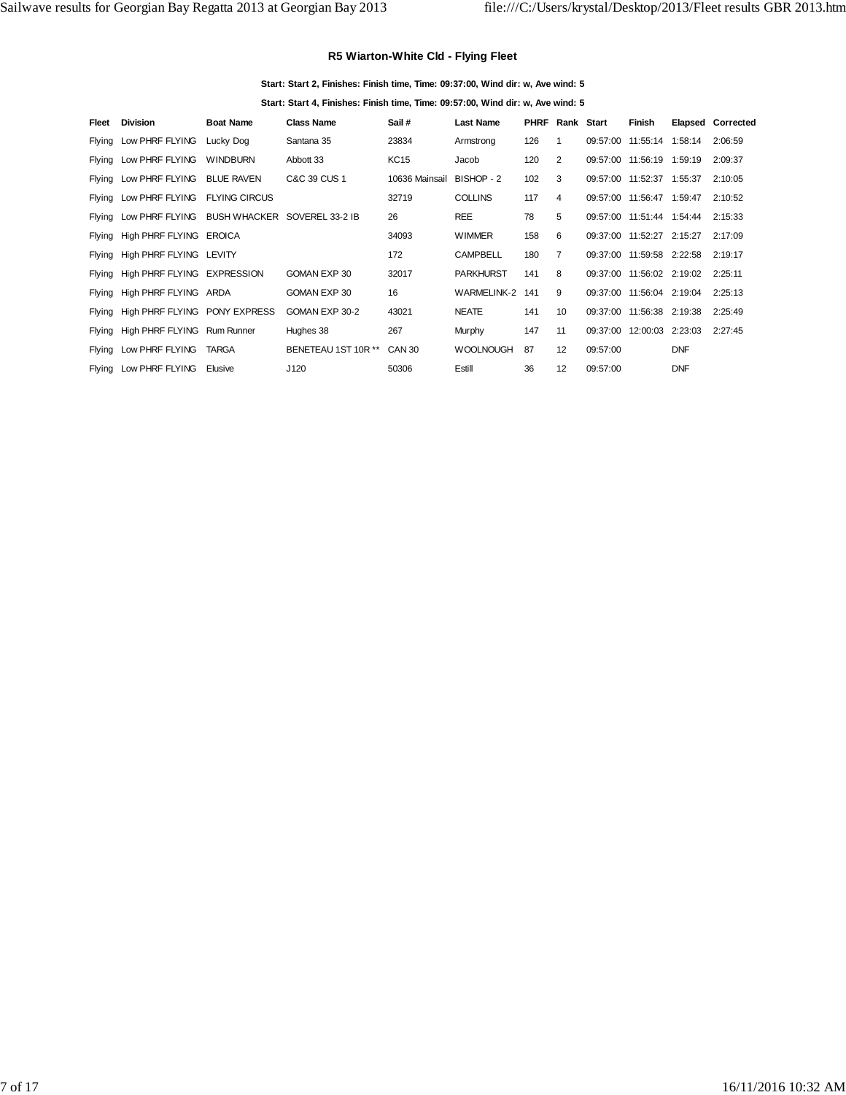## **R5 Wiarton-White Cld - Flying Fleet**

#### **Start: Start 2, Finishes: Finish time, Time: 09:37:00, Wind dir: w, Ave wind: 5**

**Start: Start 4, Finishes: Finish time, Time: 09:57:00, Wind dir: w, Ave wind: 5**

| Fleet | <b>Division</b>                                     | <b>Boat Name</b>     | <b>Class Name</b>   | Sail #                    | <b>Last Name</b> | <b>PHRF</b> | Rank Start        |          | Finish                    |            | <b>Elapsed Corrected</b> |
|-------|-----------------------------------------------------|----------------------|---------------------|---------------------------|------------------|-------------|-------------------|----------|---------------------------|------------|--------------------------|
|       | Flying Low PHRF FLYING                              | Lucky Dog            | Santana 35          | 23834                     | Armstrong        | 126         | $\mathbf{1}$      |          | 09:57:00 11:55:14 1:58:14 |            | 2:06:59                  |
|       | Flying Low PHRF FLYING                              | <b>WINDBURN</b>      | Abbott 33           | <b>KC15</b>               | Jacob            | 120         | 2                 |          | 09:57:00 11:56:19 1:59:19 |            | 2:09:37                  |
|       | Flying Low PHRF FLYING BLUE RAVEN                   |                      | C&C 39 CUS 1        | 10636 Mainsail BISHOP - 2 |                  | 102         | 3                 |          | 09:57:00 11:52:37 1:55:37 |            | 2:10:05                  |
|       | Flying Low PHRF FLYING                              | <b>FLYING CIRCUS</b> |                     | 32719                     | <b>COLLINS</b>   | 117         | 4                 |          | 09:57:00 11:56:47 1:59:47 |            | 2:10:52                  |
|       | Flying Low PHRF FLYING BUSH WHACKER SOVEREL 33-2 IB |                      |                     | 26                        | <b>REE</b>       | 78          | 5                 |          | 09:57:00 11:51:44 1:54:44 |            | 2:15:33                  |
|       | Flying High PHRF FLYING EROICA                      |                      |                     | 34093                     | <b>WIMMER</b>    | 158         | 6                 |          | 09:37:00 11:52:27 2:15:27 |            | 2:17:09                  |
|       | Flying High PHRF FLYING LEVITY                      |                      |                     | 172                       | <b>CAMPBELL</b>  | 180         | 7                 |          | 09:37:00 11:59:58 2:22:58 |            | 2:19:17                  |
|       | Flying High PHRF FLYING EXPRESSION                  |                      | GOMAN EXP 30        | 32017                     | <b>PARKHURST</b> | 141         | 8                 |          | 09:37:00 11:56:02 2:19:02 |            | 2:25:11                  |
|       | Flying High PHRF FLYING ARDA                        |                      | GOMAN EXP 30        | 16                        | WARMELINK-2      | 141         | 9                 |          | 09:37:00 11:56:04 2:19:04 |            | 2:25:13                  |
|       | Flying High PHRF FLYING PONY EXPRESS                |                      | GOMAN EXP 30-2      | 43021                     | <b>NEATE</b>     | 141         | 10                |          | 09:37:00 11:56:38 2:19:38 |            | 2:25:49                  |
|       | Flying High PHRF FLYING Rum Runner                  |                      | Hughes 38           | 267                       | Murphy           | 147         | 11                | 09:37:00 | 12:00:03 2:23:03          |            | 2:27:45                  |
|       | Flying Low PHRF FLYING                              | <b>TARGA</b>         | BENETEAU 1ST 10R ** | CAN 30                    | <b>WOOLNOUGH</b> | 87          | 12                | 09:57:00 |                           | <b>DNF</b> |                          |
|       | Flying Low PHRF FLYING                              | Elusive              | J120                | 50306                     | Estill           | 36          | $12 \overline{ }$ | 09:57:00 |                           | <b>DNF</b> |                          |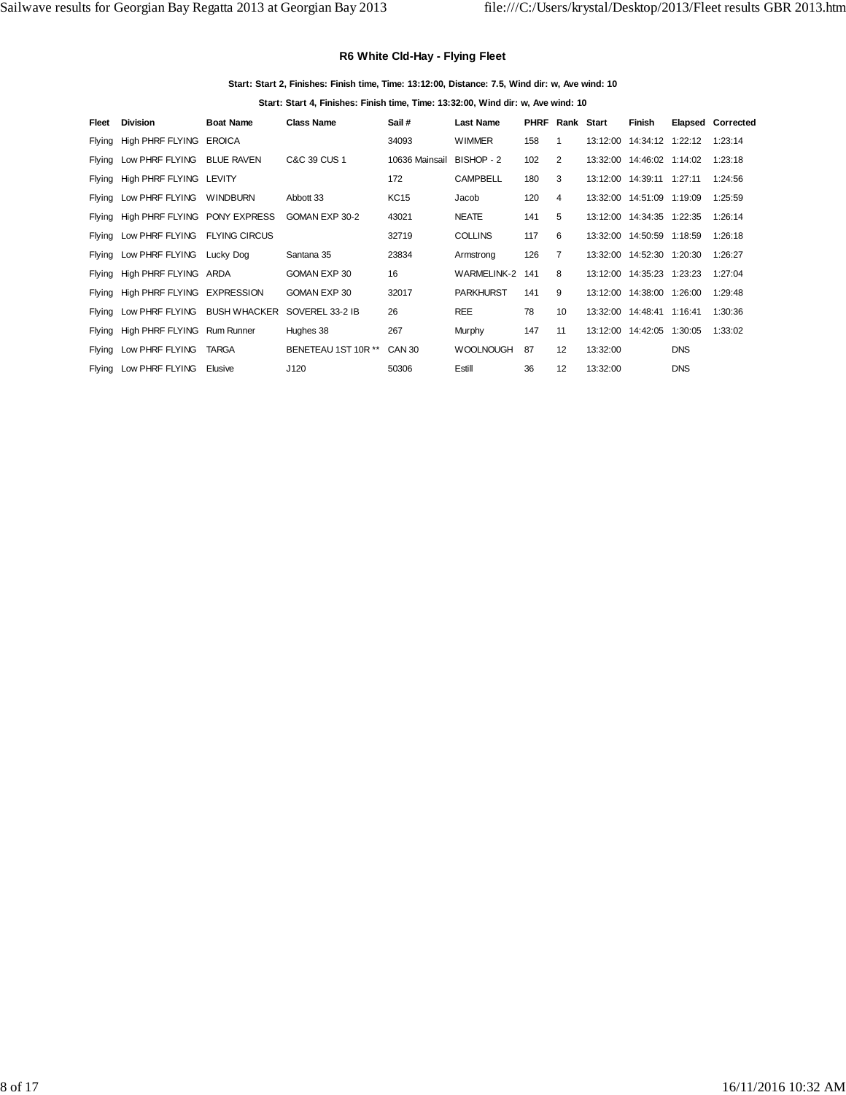## **R6 White Cld-Hay - Flying Fleet**

#### **Start: Start 2, Finishes: Finish time, Time: 13:12:00, Distance: 7.5, Wind dir: w, Ave wind: 10**

**Start: Start 4, Finishes: Finish time, Time: 13:32:00, Wind dir: w, Ave wind: 10**

| Fleet | <b>Division</b>                      | <b>Boat Name</b> | <b>Class Name</b>   | Sail #                    | <b>Last Name</b>   | <b>PHRF</b> | Rank Start      |          | Finish                      |            | Elapsed Corrected |
|-------|--------------------------------------|------------------|---------------------|---------------------------|--------------------|-------------|-----------------|----------|-----------------------------|------------|-------------------|
|       | Flying High PHRF FLYING EROICA       |                  |                     | 34093                     | <b>WIMMER</b>      | 158         | 1               |          | 13:12:00  14:34:12  1:22:12 |            | 1:23:14           |
|       | Flying Low PHRF FLYING BLUE RAVEN    |                  | C&C 39 CUS 1        | 10636 Mainsail BISHOP - 2 |                    | 102         | 2               |          | 13:32:00  14:46:02  1:14:02 |            | 1:23:18           |
|       | Flying High PHRF FLYING LEVITY       |                  |                     | 172                       | <b>CAMPBELL</b>    | 180         | 3               |          | 13:12:00  14:39:11  1:27:11 |            | 1:24:56           |
|       | Flying Low PHRF FLYING WINDBURN      |                  | Abbott 33           | KC15                      | Jacob              | 120         | 4               |          | 13:32:00  14:51:09  1:19:09 |            | 1:25:59           |
|       | Flying High PHRF FLYING PONY EXPRESS |                  | GOMAN EXP 30-2      | 43021                     | <b>NEATE</b>       | 141         | 5               |          | 13:12:00  14:34:35  1:22:35 |            | 1:26:14           |
|       | Flying Low PHRF FLYING FLYING CIRCUS |                  |                     | 32719                     | <b>COLLINS</b>     | 117         | 6               |          | 13:32:00  14:50:59  1:18:59 |            | 1:26:18           |
|       | Flying Low PHRF FLYING Lucky Dog     |                  | Santana 35          | 23834                     | Armstrong          | 126         | $\overline{7}$  |          | 13:32:00  14:52:30  1:20:30 |            | 1:26:27           |
|       | Flying High PHRF FLYING ARDA         |                  | GOMAN EXP 30        | 16                        | <b>WARMELINK-2</b> | 141         | 8               |          | 13:12:00  14:35:23  1:23:23 |            | 1:27:04           |
|       | Flying High PHRF FLYING EXPRESSION   |                  | GOMAN EXP 30        | 32017                     | <b>PARKHURST</b>   | 141         | 9               |          | 13:12:00  14:38:00  1:26:00 |            | 1:29:48           |
|       | Flying Low PHRF FLYING BUSH WHACKER  |                  | SOVEREL 33-2 IB     | 26                        | <b>REE</b>         | 78          | 10 <sup>1</sup> |          | 13:32:00  14:48:41  1:16:41 |            | 1:30:36           |
|       | Flying High PHRF FLYING Rum Runner   |                  | Hughes 38           | 267                       | Murphy             | 147         | 11              |          | 13:12:00  14:42:05  1:30:05 |            | 1:33:02           |
|       | Flying Low PHRF FLYING               | <b>TARGA</b>     | BENETEAU 1ST 10R ** | CAN 30                    | <b>WOOLNOUGH</b>   | 87          | 12              | 13:32:00 |                             | <b>DNS</b> |                   |
|       | Flying Low PHRF FLYING               | Elusive          | J120                | 50306                     | Estill             | 36          | 12              | 13:32:00 |                             | <b>DNS</b> |                   |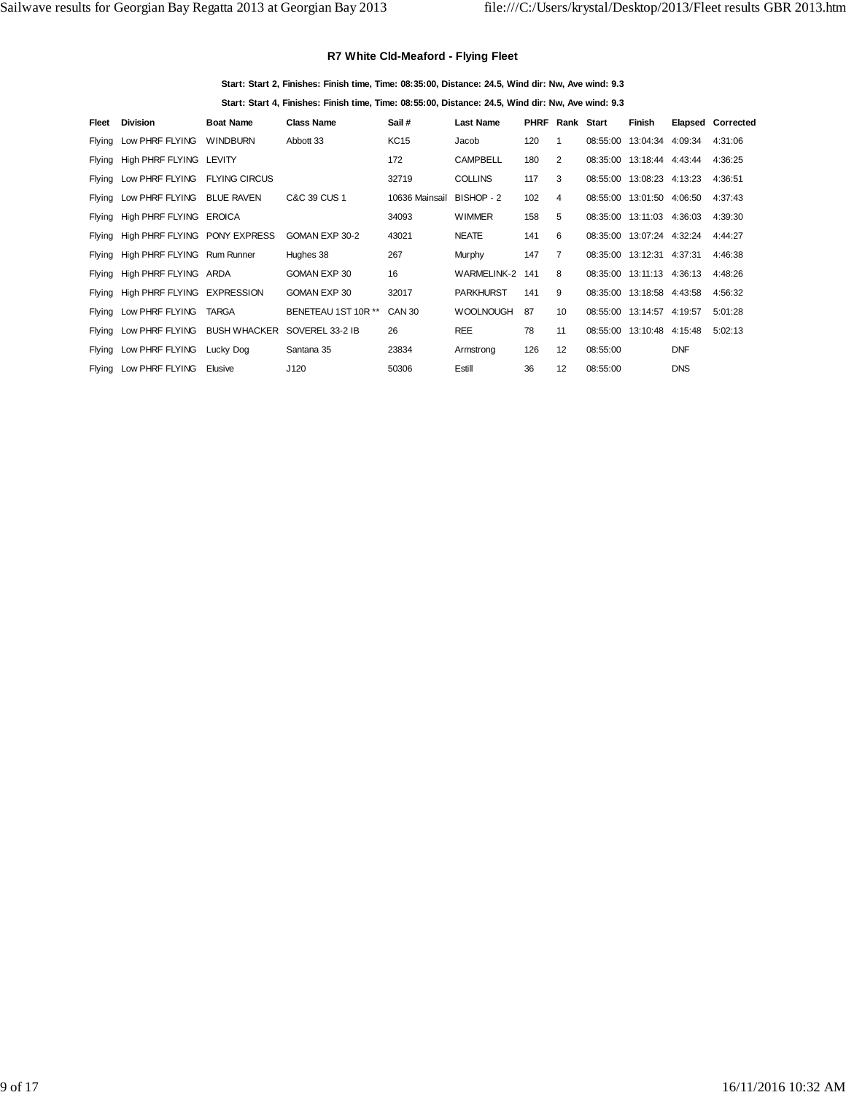## **R7 White Cld-Meaford - Flying Fleet**

#### **Start: Start 2, Finishes: Finish time, Time: 08:35:00, Distance: 24.5, Wind dir: Nw, Ave wind: 9.3**

**Start: Start 4, Finishes: Finish time, Time: 08:55:00, Distance: 24.5, Wind dir: Nw, Ave wind: 9.3**

| Fleet | <b>Division</b>                                     | <b>Boat Name</b> | <b>Class Name</b>   | Sail#          | <b>Last Name</b> | <b>PHRF</b> | Rank Start      |          | Finish                    |            | <b>Elapsed Corrected</b> |
|-------|-----------------------------------------------------|------------------|---------------------|----------------|------------------|-------------|-----------------|----------|---------------------------|------------|--------------------------|
|       | Flying Low PHRF FLYING WINDBURN                     |                  | Abbott 33           | KC15           | Jacob            | 120         | 1               | 08:55:00 | 13:04:34 4:09:34          |            | 4:31:06                  |
|       | Flying High PHRF FLYING LEVITY                      |                  |                     | 172            | <b>CAMPBELL</b>  | 180         | 2               |          | 08:35:00 13:18:44 4:43:44 |            | 4:36:25                  |
|       | Flying Low PHRF FLYING FLYING CIRCUS                |                  |                     | 32719          | <b>COLLINS</b>   | 117         | 3               | 08:55:00 | 13:08:23 4:13:23          |            | 4:36:51                  |
|       | Flying Low PHRF FLYING BLUE RAVEN                   |                  | C&C 39 CUS 1        | 10636 Mainsail | BISHOP - 2       | 102         | 4               | 08:55:00 | 13:01:50 4:06:50          |            | 4:37:43                  |
|       | Flying High PHRF FLYING EROICA                      |                  |                     | 34093          | <b>WIMMER</b>    | 158         | 5               |          | 08:35:00 13:11:03 4:36:03 |            | 4:39:30                  |
|       | Flying High PHRF FLYING PONY EXPRESS                |                  | GOMAN EXP 30-2      | 43021          | <b>NEATE</b>     | 141         | 6               |          | 08:35:00 13:07:24 4:32:24 |            | 4:44:27                  |
|       | Flying High PHRF FLYING Rum Runner                  |                  | Hughes 38           | 267            | Murphy           | 147         | 7               |          | 08:35:00 13:12:31 4:37:31 |            | 4:46:38                  |
|       | Flying High PHRF FLYING ARDA                        |                  | GOMAN EXP 30        | 16             | WARMELINK-2      | 141         | 8               |          | 08:35:00 13:11:13 4:36:13 |            | 4:48:26                  |
|       | Flying High PHRF FLYING EXPRESSION                  |                  | GOMAN EXP 30        | 32017          | <b>PARKHURST</b> | 141         | 9               |          | 08:35:00 13:18:58 4:43:58 |            | 4:56:32                  |
|       | Flying Low PHRF FLYING                              | <b>TARGA</b>     | BENETEAU 1ST 10R ** | CAN 30         | <b>WOOLNOUGH</b> | 87          | 10 <sup>1</sup> |          | 08:55:00 13:14:57 4:19:57 |            | 5:01:28                  |
|       | Flying Low PHRF FLYING BUSH WHACKER SOVEREL 33-2 IB |                  |                     | 26             | <b>REE</b>       | 78          | 11              |          | 08:55:00 13:10:48 4:15:48 |            | 5:02:13                  |
|       | Flying Low PHRF FLYING                              | Lucky Dog        | Santana 35          | 23834          | Armstrong        | 126         | 12              | 08:55:00 |                           | <b>DNF</b> |                          |
|       | Flying Low PHRF FLYING                              | Elusive          | J120                | 50306          | Estill           | 36          | 12              | 08:55:00 |                           | <b>DNS</b> |                          |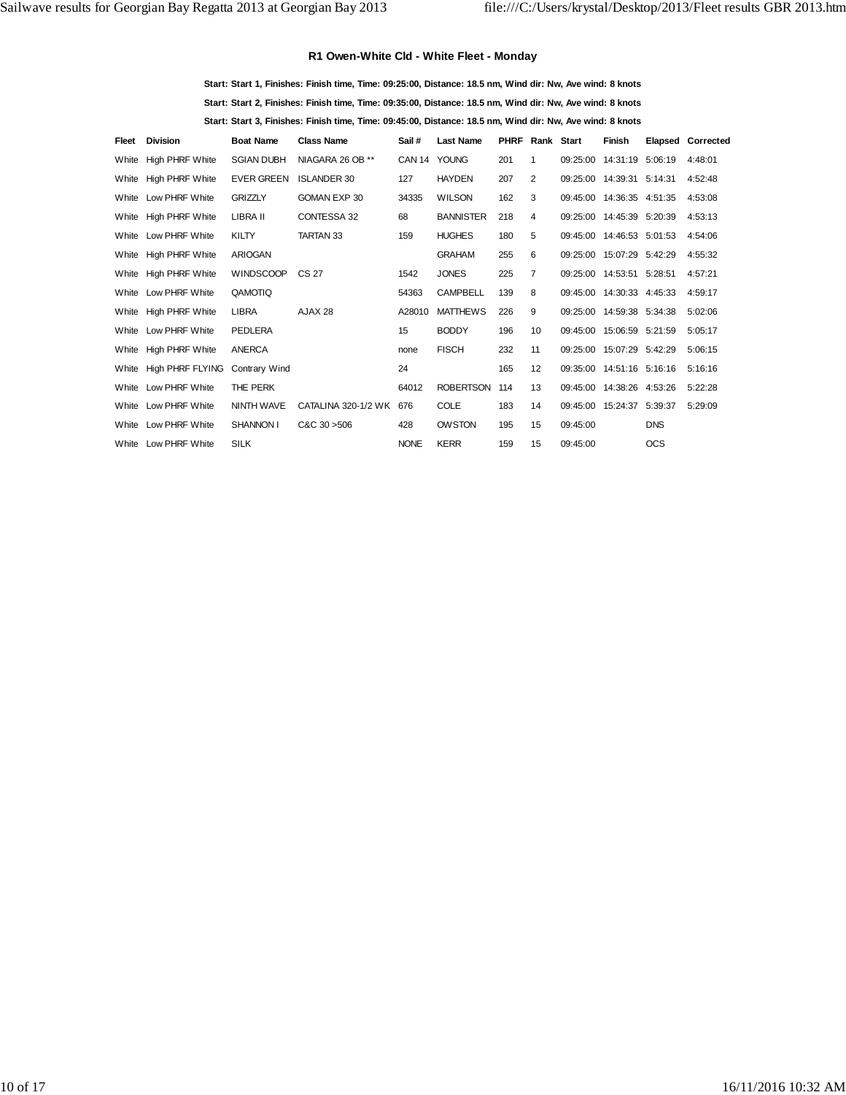## **R1 Owen-White Cld - White Fleet - Monday**

**Start: Start 1, Finishes: Finish time, Time: 09:25:00, Distance: 18.5 nm, Wind dir: Nw, Ave wind: 8 knots Start: Start 2, Finishes: Finish time, Time: 09:35:00, Distance: 18.5 nm, Wind dir: Nw, Ave wind: 8 knots Start: Start 3, Finishes: Finish time, Time: 09:45:00, Distance: 18.5 nm, Wind dir: Nw, Ave wind: 8 knots**

| Fleet | Division               | <b>Boat Name</b>  | <b>Class Name</b>   | Sail #       | <b>Last Name</b> | <b>PHRF Rank Start</b> |                 |          | <b>Finish</b>             |            | <b>Elapsed Corrected</b> |
|-------|------------------------|-------------------|---------------------|--------------|------------------|------------------------|-----------------|----------|---------------------------|------------|--------------------------|
| White | High PHRF White        | <b>SGIAN DUBH</b> | NIAGARA 26 OB **    | CAN 14 YOUNG |                  | 201                    | 1               |          | 09:25:00 14:31:19 5:06:19 |            | 4:48:01                  |
|       | White High PHRF White  | <b>EVER GREEN</b> | <b>ISLANDER 30</b>  | 127          | <b>HAYDEN</b>    | 207                    | 2               |          | 09:25:00 14:39:31 5:14:31 |            | 4:52:48                  |
|       | White Low PHRF White   | <b>GRIZZLY</b>    | GOMAN EXP 30        | 34335        | <b>WILSON</b>    | 162                    | 3               |          | 09:45:00 14:36:35 4:51:35 |            | 4:53:08                  |
|       | White High PHRF White  | LIBRA II          | CONTESSA 32         | 68           | <b>BANNISTER</b> | 218                    | 4               |          | 09:25:00 14:45:39 5:20:39 |            | 4:53:13                  |
|       | White Low PHRF White   | <b>KILTY</b>      | <b>TARTAN 33</b>    | 159          | <b>HUGHES</b>    | 180                    | 5               |          | 09:45:00 14:46:53 5:01:53 |            | 4:54:06                  |
| White | High PHRF White        | <b>ARIOGAN</b>    |                     |              | <b>GRAHAM</b>    | 255                    | 6               |          | 09:25:00 15:07:29 5:42:29 |            | 4:55:32                  |
|       | White High PHRF White  | <b>WINDSCOOP</b>  | CS 27               | 1542         | <b>JONES</b>     | 225                    | $\overline{7}$  |          | 09:25:00 14:53:51 5:28:51 |            | 4:57:21                  |
|       | White Low PHRF White   | QAMOTIQ           |                     | 54363        | <b>CAMPBELL</b>  | 139                    | 8               |          | 09:45:00 14:30:33 4:45:33 |            | 4:59:17                  |
|       | White High PHRF White  | <b>LIBRA</b>      | AJAX 28             | A28010       | <b>MATTHEWS</b>  | 226                    | 9               |          | 09:25:00 14:59:38 5:34:38 |            | 5:02:06                  |
|       | White Low PHRF White   | PEDLERA           |                     | 15           | <b>BODDY</b>     | 196                    | 10 <sup>1</sup> |          | 09:45:00 15:06:59 5:21:59 |            | 5:05:17                  |
| White | High PHRF White        | <b>ANERCA</b>     |                     | none         | <b>FISCH</b>     | 232                    | 11              |          | 09:25:00 15:07:29 5:42:29 |            | 5:06:15                  |
|       | White High PHRF FLYING | Contrary Wind     |                     | 24           |                  | 165                    | 12              |          | 09:35:00 14:51:16 5:16:16 |            | 5:16:16                  |
|       | White Low PHRF White   | THE PERK          |                     | 64012        | <b>ROBERTSON</b> | 114                    | 13              |          | 09:45:00 14:38:26 4:53:26 |            | 5:22:28                  |
|       | White Low PHRF White   | <b>NINTH WAVE</b> | CATALINA 320-1/2 WK | 676          | <b>COLE</b>      | 183                    | 14              |          | 09:45:00 15:24:37 5:39:37 |            | 5:29:09                  |
|       | White Low PHRF White   | SHANNON I         | C&C30>506           | 428          | <b>OWSTON</b>    | 195                    | 15              | 09:45:00 |                           | <b>DNS</b> |                          |
|       | White Low PHRF White   | <b>SILK</b>       |                     | <b>NONE</b>  | <b>KERR</b>      | 159                    | 15              | 09:45:00 |                           | <b>OCS</b> |                          |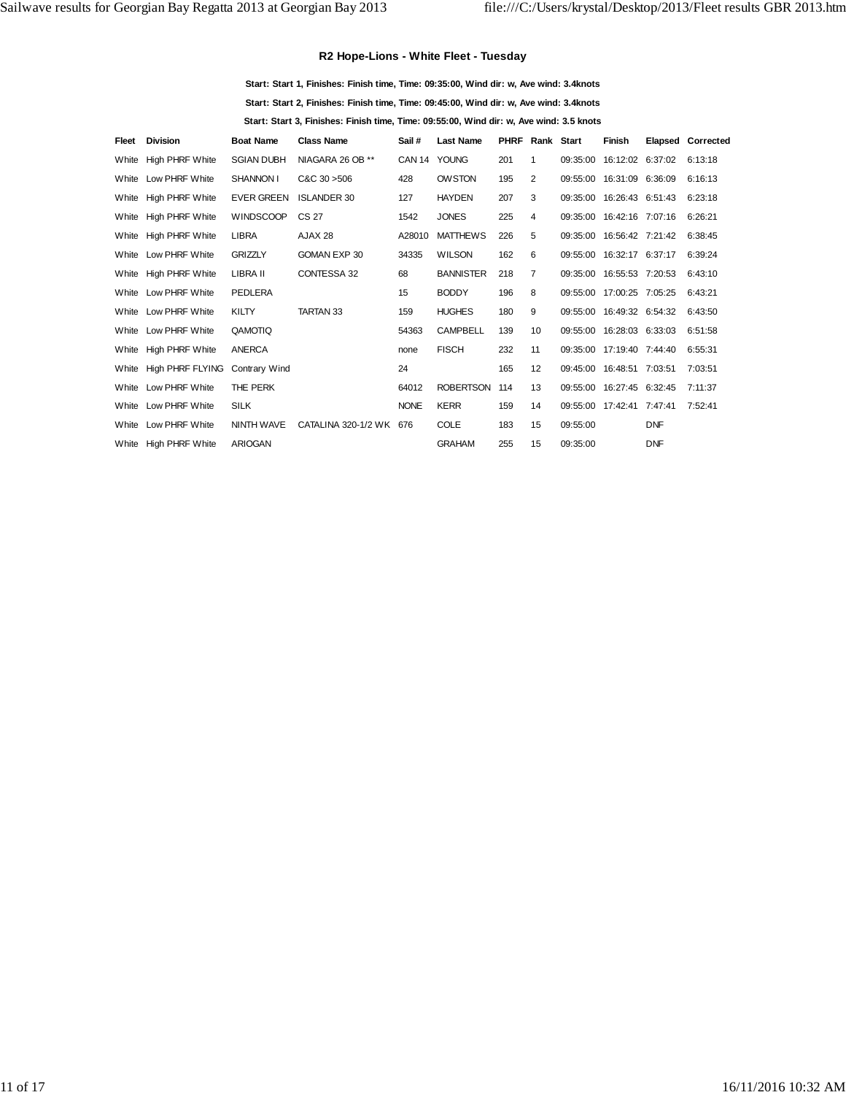## **R2 Hope-Lions - White Fleet - Tuesday**

| Start: Start 1. Finishes: Finish time. Time: 09:35:00. Wind dir: w. Ave wind: 3.4knots  |
|-----------------------------------------------------------------------------------------|
| Start: Start 2. Finishes: Finish time. Time: 09:45:00. Wind dir: w. Ave wind: 3.4knots  |
| Start: Start 3, Finishes: Finish time, Time: 09:55:00, Wind dir: w, Ave wind: 3.5 knots |

| Fleet | <b>Division</b>        | <b>Boat Name</b>     | <b>Class Name</b>       | Sail #       | <b>Last Name</b> | <b>PHRF Rank Start</b> |                |                           | <b>Finish</b>             |            | <b>Elapsed Corrected</b> |
|-------|------------------------|----------------------|-------------------------|--------------|------------------|------------------------|----------------|---------------------------|---------------------------|------------|--------------------------|
| White | High PHRF White        | <b>SGIAN DUBH</b>    | NIAGARA 26 OB **        | CAN 14 YOUNG |                  | 201                    | $\mathbf{1}$   |                           | 09:35:00 16:12:02 6:37:02 |            | 6:13:18                  |
|       | White Low PHRF White   | SHANNON I            | CAC.30 > 506            | 428          | <b>OWSTON</b>    | 195                    | 2              | 09:55:00 16:31:09 6:36:09 |                           |            | 6:16:13                  |
|       | White High PHRF White  | <b>EVER GREEN</b>    | <b>ISLANDER 30</b>      | 127          | <b>HAYDEN</b>    | 207                    | 3              |                           | 09:35:00 16:26:43 6:51:43 |            | 6:23:18                  |
|       | White High PHRF White  | <b>WINDSCOOP</b>     | CS 27                   | 1542         | <b>JONES</b>     | 225                    | 4              | 09:35:00 16:42:16 7:07:16 |                           |            | 6:26:21                  |
|       | White High PHRF White  | <b>LIBRA</b>         | AJAX 28                 | A28010       | <b>MATTHEWS</b>  | 226                    | 5              | 09:35:00 16:56:42 7:21:42 |                           |            | 6:38:45                  |
|       | White Low PHRF White   | <b>GRIZZLY</b>       | GOMAN EXP 30            | 34335        | <b>WILSON</b>    | 162                    | 6              |                           | 09:55:00 16:32:17 6:37:17 |            | 6:39:24                  |
|       | White High PHRF White  | LIBRA II             | CONTESSA 32             | 68           | <b>BANNISTER</b> | 218                    | $\overline{7}$ | 09:35:00 16:55:53 7:20:53 |                           |            | 6:43:10                  |
|       | White Low PHRF White   | PEDLERA              |                         | 15           | <b>BODDY</b>     | 196                    | 8              | 09:55:00 17:00:25 7:05:25 |                           |            | 6:43:21                  |
|       | White Low PHRF White   | <b>KILTY</b>         | <b>TARTAN 33</b>        | 159          | <b>HUGHES</b>    | 180                    | 9              | 09:55:00 16:49:32 6:54:32 |                           |            | 6:43:50                  |
|       | White Low PHRF White   | QAMOTIQ              |                         | 54363        | <b>CAMPBELL</b>  | 139                    | 10             | 09:55:00 16:28:03 6:33:03 |                           |            | 6:51:58                  |
|       | White High PHRF White  | ANERCA               |                         | none         | <b>FISCH</b>     | 232                    | 11             | 09:35:00 17:19:40 7:44:40 |                           |            | 6:55:31                  |
|       | White High PHRF FLYING | <b>Contrary Wind</b> |                         | 24           |                  | 165                    | 12             | 09:45:00 16:48:51 7:03:51 |                           |            | 7:03:51                  |
|       | White Low PHRF White   | THE PERK             |                         | 64012        | <b>ROBERTSON</b> | 114                    | 13             | 09:55:00 16:27:45 6:32:45 |                           |            | 7:11:37                  |
|       | White Low PHRF White   | <b>SILK</b>          |                         | <b>NONE</b>  | <b>KERR</b>      | 159                    | 14             | 09:55:00 17:42:41 7:47:41 |                           |            | 7:52:41                  |
|       | White Low PHRF White   | NINTH WAVE           | CATALINA 320-1/2 WK 676 |              | <b>COLE</b>      | 183                    | 15             | 09:55:00                  |                           | <b>DNF</b> |                          |
|       | White High PHRF White  | <b>ARIOGAN</b>       |                         |              | <b>GRAHAM</b>    | 255                    | 15             | 09:35:00                  |                           | <b>DNF</b> |                          |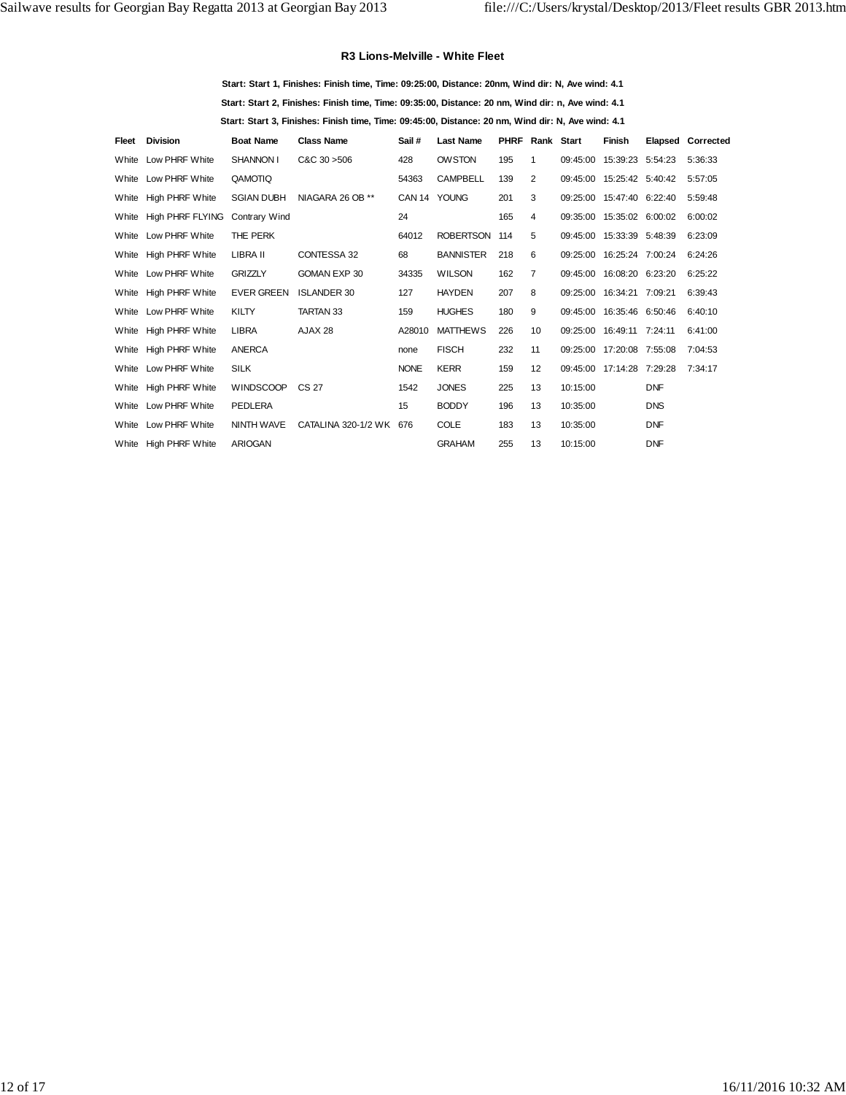#### **R3 Lions-Melville - White Fleet**

**Start: Start 1, Finishes: Finish time, Time: 09:25:00, Distance: 20nm, Wind dir: N, Ave wind: 4.1 Start: Start 2, Finishes: Finish time, Time: 09:35:00, Distance: 20 nm, Wind dir: n, Ave wind: 4.1 Start: Start 3, Finishes: Finish time, Time: 09:45:00, Distance: 20 nm, Wind dir: N, Ave wind: 4.1**

| Fleet | <b>Division</b>        | <b>Boat Name</b>  | <b>Class Name</b>       | Sail #       | <b>Last Name</b> | <b>PHRF Rank Start</b> |                |          | Finish                    |            | <b>Elapsed Corrected</b> |
|-------|------------------------|-------------------|-------------------------|--------------|------------------|------------------------|----------------|----------|---------------------------|------------|--------------------------|
|       | White Low PHRF White   | SHANNON I         | $C&C$ 30 $>506$         | 428          | <b>OWSTON</b>    | 195                    | $\mathbf{1}$   |          | 09:45:00 15:39:23 5:54:23 |            | 5:36:33                  |
|       | White Low PHRF White   | QAMOTIQ           |                         | 54363        | <b>CAMPBELL</b>  | 139                    | 2              |          | 09:45:00 15:25:42 5:40:42 |            | 5:57:05                  |
|       | White High PHRF White  | <b>SGIAN DUBH</b> | NIAGARA 26 OB **        | CAN 14 YOUNG |                  | 201                    | 3              |          | 09:25:00 15:47:40 6:22:40 |            | 5:59:48                  |
|       | White High PHRF FLYING | Contrary Wind     |                         | 24           |                  | 165                    | 4              |          | 09:35:00 15:35:02 6:00:02 |            | 6:00:02                  |
|       | White Low PHRF White   | THE PERK          |                         | 64012        | <b>ROBERTSON</b> | 114                    | 5              |          | 09:45:00 15:33:39 5:48:39 |            | 6:23:09                  |
|       | White High PHRF White  | LIBRA II          | CONTESSA 32             | 68           | <b>BANNISTER</b> | 218                    | 6              |          | 09:25:00 16:25:24 7:00:24 |            | 6:24:26                  |
|       | White Low PHRF White   | <b>GRIZZLY</b>    | GOMAN EXP 30            | 34335        | <b>WILSON</b>    | 162                    | $\overline{7}$ |          | 09:45:00 16:08:20 6:23:20 |            | 6:25:22                  |
|       | White High PHRF White  | <b>EVER GREEN</b> | <b>ISLANDER 30</b>      | 127          | <b>HAYDEN</b>    | 207                    | 8              |          | 09:25:00 16:34:21 7:09:21 |            | 6:39:43                  |
|       | White Low PHRF White   | <b>KILTY</b>      | <b>TARTAN 33</b>        | 159          | <b>HUGHES</b>    | 180                    | 9              |          | 09:45:00 16:35:46 6:50:46 |            | 6:40:10                  |
|       | White High PHRF White  | <b>LIBRA</b>      | AJAX 28                 | A28010       | <b>MATTHEWS</b>  | 226                    | 10             |          | 09:25:00 16:49:11 7:24:11 |            | 6:41:00                  |
|       | White High PHRF White  | <b>ANERCA</b>     |                         | none         | <b>FISCH</b>     | 232                    | 11             |          | 09:25:00 17:20:08 7:55:08 |            | 7:04:53                  |
|       | White Low PHRF White   | <b>SILK</b>       |                         | <b>NONE</b>  | <b>KERR</b>      | 159                    | 12             |          | 09:45:00 17:14:28 7:29:28 |            | 7:34:17                  |
|       | White High PHRF White  | WINDSCOOP         | CS 27                   | 1542         | <b>JONES</b>     | 225                    | 13             | 10:15:00 |                           | <b>DNF</b> |                          |
|       | White Low PHRF White   | PEDLERA           |                         | 15           | <b>BODDY</b>     | 196                    | 13             | 10:35:00 |                           | <b>DNS</b> |                          |
|       | White Low PHRF White   | NINTH WAVE        | CATALINA 320-1/2 WK 676 |              | <b>COLE</b>      | 183                    | 13             | 10:35:00 |                           | <b>DNF</b> |                          |
|       | White High PHRF White  | <b>ARIOGAN</b>    |                         |              | <b>GRAHAM</b>    | 255                    | 13             | 10:15:00 |                           | <b>DNF</b> |                          |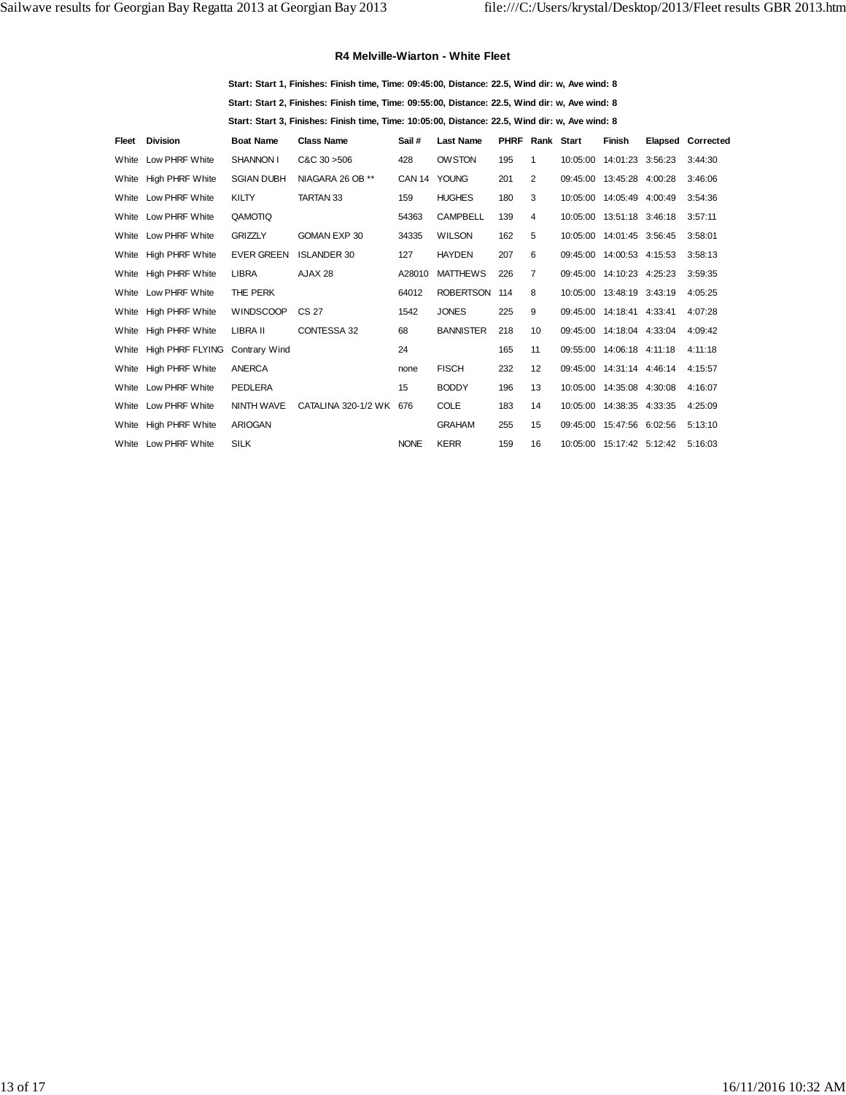#### **R4 Melville-Wiarton - White Fleet**

**Start: Start 1, Finishes: Finish time, Time: 09:45:00, Distance: 22.5, Wind dir: w, Ave wind: 8 Start: Start 2, Finishes: Finish time, Time: 09:55:00, Distance: 22.5, Wind dir: w, Ave wind: 8 Start: Start 3, Finishes: Finish time, Time: 10:05:00, Distance: 22.5, Wind dir: w, Ave wind: 8**

| Fleet | <b>Division</b>        | <b>Boat Name</b>     | <b>Class Name</b>       | Sail#        | <b>Last Name</b> | <b>PHRF Rank Start</b> |                | Finish                      | Elapsed Corrected |
|-------|------------------------|----------------------|-------------------------|--------------|------------------|------------------------|----------------|-----------------------------|-------------------|
| White | Low PHRF White         | SHANNON I            | C&C30>506               | 428          | <b>OWSTON</b>    | 195                    | 1              | 10:05:00  14:01:23  3:56:23 | 3:44:30           |
|       | White High PHRF White  | <b>SGIAN DUBH</b>    | NIAGARA 26 OB **        | CAN 14 YOUNG |                  | 201                    | 2              | 09:45:00 13:45:28 4:00:28   | 3:46:06           |
| White | Low PHRF White         | <b>KILTY</b>         | TARTAN 33               | 159          | <b>HUGHES</b>    | 180                    | 3              | 10:05:00  14:05:49  4:00:49 | 3:54:36           |
|       | White Low PHRF White   | QAMOTIQ              |                         | 54363        | <b>CAMPBELL</b>  | 139                    | 4              | 10:05:00  13:51:18  3:46:18 | 3:57:11           |
|       | White Low PHRF White   | <b>GRIZZLY</b>       | GOMAN EXP 30            | 34335        | <b>WILSON</b>    | 162                    | 5              | 10:05:00 14:01:45 3:56:45   | 3:58:01           |
| White | High PHRF White        | <b>EVER GREEN</b>    | <b>ISLANDER 30</b>      | 127          | <b>HAYDEN</b>    | 207                    | 6              | 09:45:00 14:00:53 4:15:53   | 3:58:13           |
| White | <b>High PHRF White</b> | <b>LIBRA</b>         | AJAX 28                 | A28010       | <b>MATTHEWS</b>  | 226                    | $\overline{7}$ | 09:45:00 14:10:23 4:25:23   | 3:59:35           |
|       | White Low PHRF White   | THE PERK             |                         | 64012        | ROBERTSON 114    |                        | 8              | 10:05:00 13:48:19 3:43:19   | 4:05:25           |
|       | White High PHRF White  | <b>WINDSCOOP</b>     | CS 27                   | 1542         | <b>JONES</b>     | 225                    | 9              | 09:45:00 14:18:41 4:33:41   | 4:07:28           |
| White | <b>High PHRF White</b> | LIBRA II             | CONTESSA 32             | 68           | <b>BANNISTER</b> | 218                    | 10             | 09:45:00 14:18:04 4:33:04   | 4:09:42           |
| White | High PHRF FLYING       | <b>Contrary Wind</b> |                         | 24           |                  | 165                    | 11             | 09:55:00 14:06:18 4:11:18   | 4:11:18           |
| White | <b>High PHRF White</b> | ANERCA               |                         | none         | <b>FISCH</b>     | 232                    | 12             | 09:45:00 14:31:14 4:46:14   | 4:15:57           |
| White | Low PHRF White         | <b>PEDLERA</b>       |                         | 15           | <b>BODDY</b>     | 196                    | 13             | 10:05:00  14:35:08  4:30:08 | 4:16:07           |
| White | Low PHRF White         | NINTH WAVE           | CATALINA 320-1/2 WK 676 |              | <b>COLE</b>      | 183                    | 14             | 10:05:00  14:38:35  4:33:35 | 4:25:09           |
| White | <b>High PHRF White</b> | <b>ARIOGAN</b>       |                         |              | <b>GRAHAM</b>    | 255                    | 15             | 09:45:00 15:47:56 6:02:56   | 5:13:10           |
|       | White Low PHRF White   | <b>SILK</b>          |                         | <b>NONE</b>  | <b>KERR</b>      | 159                    | 16             | 10:05:00  15:17:42  5:12:42 | 5:16:03           |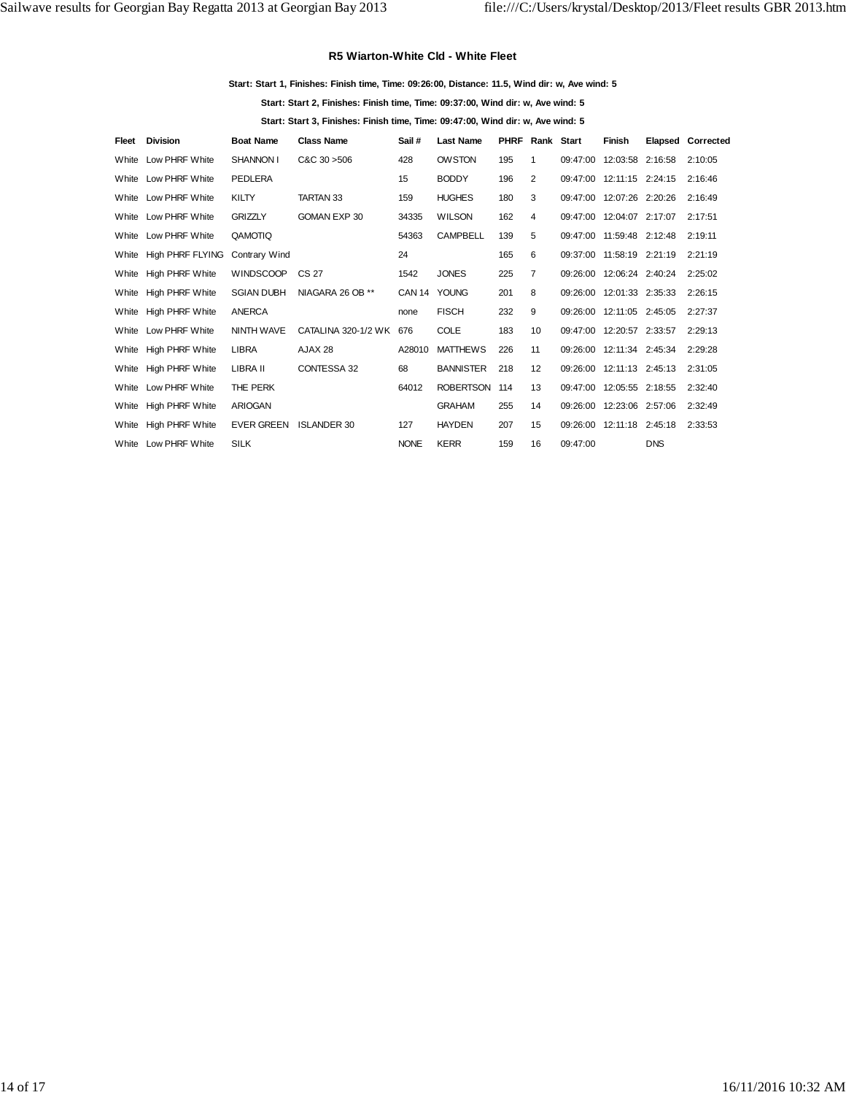#### **R5 Wiarton-White Cld - White Fleet**

#### **Start: Start 1, Finishes: Finish time, Time: 09:26:00, Distance: 11.5, Wind dir: w, Ave wind: 5**

**Start: Start 2, Finishes: Finish time, Time: 09:37:00, Wind dir: w, Ave wind: 5**

**Start: Start 3, Finishes: Finish time, Time: 09:47:00, Wind dir: w, Ave wind: 5**

| Fleet | <b>Division</b>        | <b>Boat Name</b>  | <b>Class Name</b>   | Sail #       | <b>Last Name</b> | <b>PHRF Rank Start</b> |                 |          | <b>Finish</b>             |            | <b>Elapsed Corrected</b> |
|-------|------------------------|-------------------|---------------------|--------------|------------------|------------------------|-----------------|----------|---------------------------|------------|--------------------------|
| White | Low PHRF White         | SHANNON I         | $C&C$ 30 $>506$     | 428          | <b>OWSTON</b>    | 195                    | $\mathbf 1$     |          | 09:47:00 12:03:58 2:16:58 |            | 2:10:05                  |
|       | White Low PHRF White   | <b>PEDLERA</b>    |                     | 15           | <b>BODDY</b>     | 196                    | 2               |          | 09:47:00 12:11:15 2:24:15 |            | 2:16:46                  |
|       | White Low PHRF White   | KILTY             | <b>TARTAN 33</b>    | 159          | <b>HUGHES</b>    | 180                    | 3               |          | 09:47:00 12:07:26 2:20:26 |            | 2:16:49                  |
|       | White Low PHRF White   | <b>GRIZZLY</b>    | GOMAN EXP 30        | 34335        | <b>WILSON</b>    | 162                    | 4               |          | 09:47:00 12:04:07 2:17:07 |            | 2:17:51                  |
|       | White Low PHRF White   | QAMOTIQ           |                     | 54363        | <b>CAMPBELL</b>  | 139                    | 5               |          | 09:47:00 11:59:48 2:12:48 |            | 2:19:11                  |
|       | White High PHRF FLYING | Contrary Wind     |                     | 24           |                  | 165                    | 6               |          | 09:37:00 11:58:19 2:21:19 |            | 2:21:19                  |
|       | White High PHRF White  | WINDSCOOP CS 27   |                     | 1542         | <b>JONES</b>     | 225                    | $\overline{7}$  |          | 09:26:00 12:06:24 2:40:24 |            | 2:25:02                  |
|       | White High PHRF White  | <b>SGIAN DUBH</b> | NIAGARA 26 OB **    | CAN 14 YOUNG |                  | 201                    | 8               |          | 09:26:00 12:01:33 2:35:33 |            | 2:26:15                  |
|       | White High PHRF White  | <b>ANERCA</b>     |                     | none         | <b>FISCH</b>     | 232                    | 9               |          | 09:26:00 12:11:05 2:45:05 |            | 2:27:37                  |
|       | White Low PHRF White   | <b>NINTH WAVE</b> | CATALINA 320-1/2 WK | 676          | <b>COLE</b>      | 183                    | 10 <sup>1</sup> |          | 09:47:00 12:20:57 2:33:57 |            | 2:29:13                  |
|       | White High PHRF White  | <b>LIBRA</b>      | AJAX 28             | A28010       | <b>MATTHEWS</b>  | 226                    | 11              |          | 09:26:00 12:11:34 2:45:34 |            | 2:29:28                  |
|       | White High PHRF White  | LIBRA II          | CONTESSA 32         | 68           | <b>BANNISTER</b> | 218                    | 12              |          | 09:26:00 12:11:13 2:45:13 |            | 2:31:05                  |
|       | White Low PHRF White   | THE PERK          |                     | 64012        | ROBERTSON 114    |                        | 13              |          | 09:47:00 12:05:55 2:18:55 |            | 2:32:40                  |
| White | <b>High PHRF White</b> | <b>ARIOGAN</b>    |                     |              | <b>GRAHAM</b>    | 255                    | 14              |          | 09:26:00 12:23:06 2:57:06 |            | 2:32:49                  |
|       | White High PHRF White  | <b>EVER GREEN</b> | <b>ISLANDER 30</b>  | 127          | <b>HAYDEN</b>    | 207                    | 15              |          | 09:26:00 12:11:18 2:45:18 |            | 2:33:53                  |
|       | White Low PHRF White   | <b>SILK</b>       |                     | <b>NONE</b>  | <b>KERR</b>      | 159                    | 16              | 09:47:00 |                           | <b>DNS</b> |                          |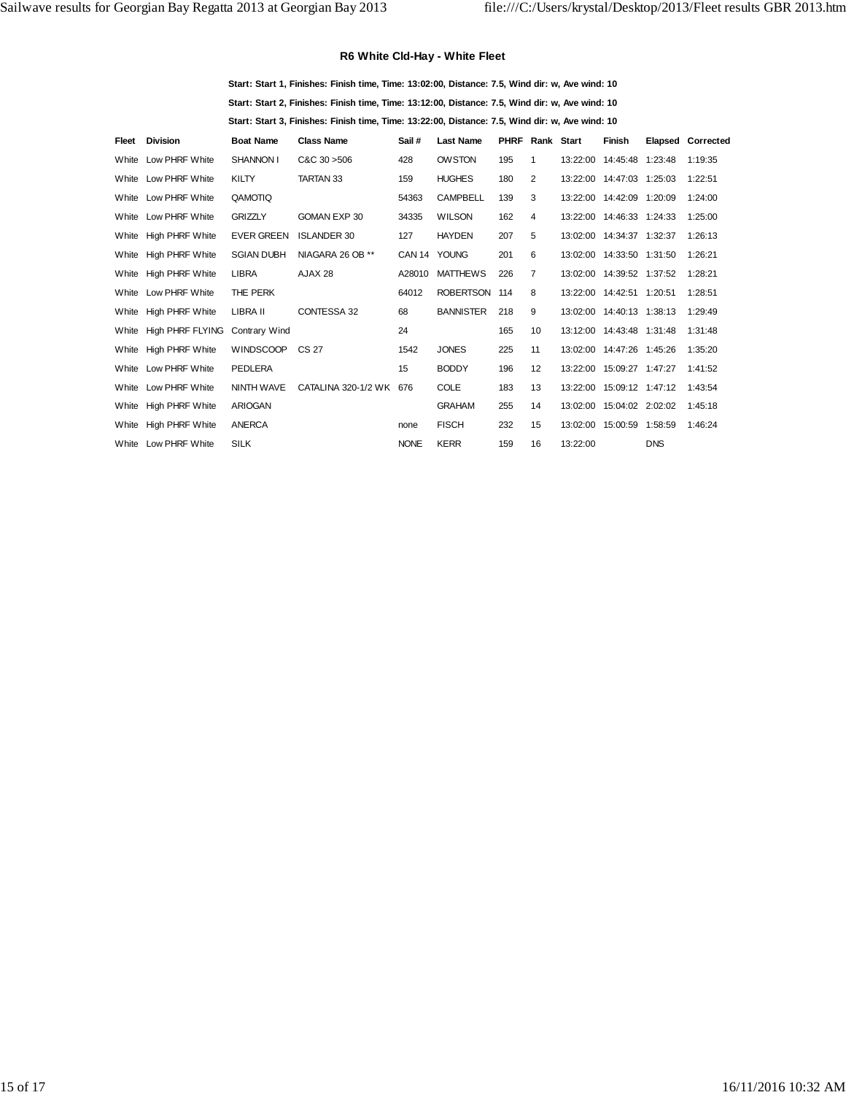## **R6 White Cld-Hay - White Fleet**

**Start: Start 1, Finishes: Finish time, Time: 13:02:00, Distance: 7.5, Wind dir: w, Ave wind: 10 Start: Start 2, Finishes: Finish time, Time: 13:12:00, Distance: 7.5, Wind dir: w, Ave wind: 10 Start: Start 3, Finishes: Finish time, Time: 13:22:00, Distance: 7.5, Wind dir: w, Ave wind: 10**

| Fleet | <b>Division</b>         | <b>Boat Name</b>     | <b>Class Name</b>       | Sail #       | <b>Last Name</b> | PHRF | Rank Start      |          | <b>Finish</b>               |            | Elapsed Corrected |
|-------|-------------------------|----------------------|-------------------------|--------------|------------------|------|-----------------|----------|-----------------------------|------------|-------------------|
| White | Low PHRF White          | <b>SHANNON I</b>     | $C&C$ 30 $>506$         | 428          | <b>OWSTON</b>    | 195  | $\mathbf{1}$    |          | 13:22:00  14:45:48  1:23:48 |            | 1:19:35           |
| White | Low PHRF White          | <b>KILTY</b>         | <b>TARTAN 33</b>        | 159          | <b>HUGHES</b>    | 180  | 2               |          | 13:22:00  14:47:03  1:25:03 |            | 1:22:51           |
|       | White Low PHRF White    | QAMOTIQ              |                         | 54363        | <b>CAMPBELL</b>  | 139  | 3               |          | 13:22:00  14:42:09  1:20:09 |            | 1:24:00           |
|       | White Low PHRF White    | <b>GRIZZLY</b>       | GOMAN EXP 30            | 34335        | <b>WILSON</b>    | 162  | 4               |          | 13:22:00  14:46:33  1:24:33 |            | 1:25:00           |
| White | <b>High PHRF White</b>  | <b>EVER GREEN</b>    | <b>ISLANDER 30</b>      | 127          | <b>HAYDEN</b>    | 207  | 5               |          | 13:02:00  14:34:37  1:32:37 |            | 1:26:13           |
| White | <b>High PHRF White</b>  | <b>SGIAN DUBH</b>    | NIAGARA 26 OB **        | CAN 14 YOUNG |                  | 201  | 6               |          | 13:02:00  14:33:50  1:31:50 |            | 1:26:21           |
|       | White High PHRF White   | <b>LIBRA</b>         | AJAX 28                 | A28010       | <b>MATTHEWS</b>  | 226  | $\overline{7}$  |          | 13:02:00  14:39:52  1:37:52 |            | 1:28:21           |
|       | White Low PHRF White    | THE PERK             |                         | 64012        | ROBERTSON 114    |      | 8               |          | 13:22:00  14:42:51  1:20:51 |            | 1:28:51           |
| White | High PHRF White         | LIBRA II             | CONTESSA 32             | 68           | <b>BANNISTER</b> | 218  | 9               |          | 13:02:00 14:40:13 1:38:13   |            | 1:29:49           |
| White | <b>High PHRF FLYING</b> | <b>Contrary Wind</b> |                         | 24           |                  | 165  | 10 <sup>1</sup> |          | 13:12:00 14:43:48 1:31:48   |            | 1:31:48           |
|       | White High PHRF White   | <b>WINDSCOOP</b>     | CS 27                   | 1542         | <b>JONES</b>     | 225  | 11              |          | 13:02:00  14:47:26  1:45:26 |            | 1:35:20           |
|       | White Low PHRF White    | <b>PEDLERA</b>       |                         | 15           | <b>BODDY</b>     | 196  | 12              |          | 13:22:00 15:09:27 1:47:27   |            | 1:41:52           |
|       | White Low PHRF White    | NINTH WAVE           | CATALINA 320-1/2 WK 676 |              | <b>COLE</b>      | 183  | 13              |          | 13:22:00 15:09:12 1:47:12   |            | 1:43:54           |
| White | <b>High PHRF White</b>  | <b>ARIOGAN</b>       |                         |              | <b>GRAHAM</b>    | 255  | 14              |          | 13:02:00  15:04:02  2:02:02 |            | 1:45:18           |
| White | <b>High PHRF White</b>  | <b>ANERCA</b>        |                         | none         | <b>FISCH</b>     | 232  | 15              |          | 13:02:00  15:00:59  1:58:59 |            | 1:46:24           |
|       | White Low PHRF White    | <b>SILK</b>          |                         | <b>NONE</b>  | <b>KERR</b>      | 159  | 16              | 13:22:00 |                             | <b>DNS</b> |                   |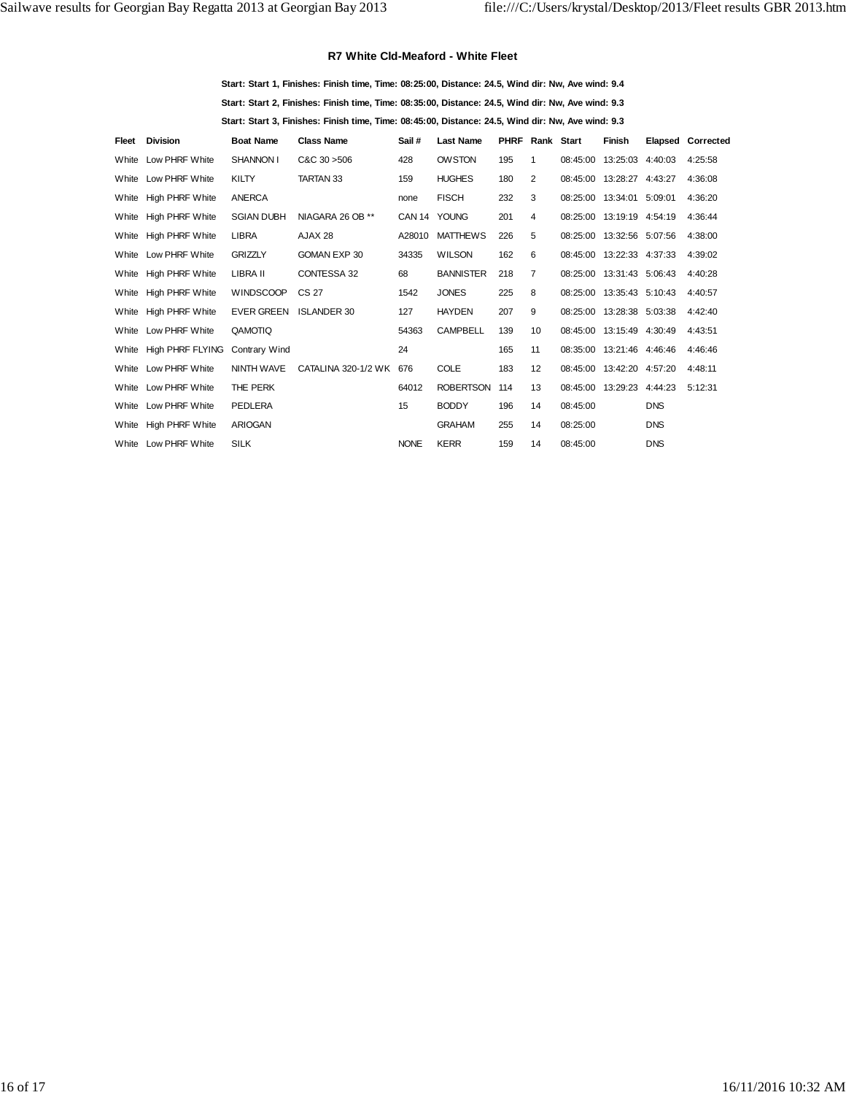#### **R7 White Cld-Meaford - White Fleet**

**Start: Start 1, Finishes: Finish time, Time: 08:25:00, Distance: 24.5, Wind dir: Nw, Ave wind: 9.4 Start: Start 2, Finishes: Finish time, Time: 08:35:00, Distance: 24.5, Wind dir: Nw, Ave wind: 9.3 Start: Start 3, Finishes: Finish time, Time: 08:45:00, Distance: 24.5, Wind dir: Nw, Ave wind: 9.3**

| Fleet | <b>Division</b>        | <b>Boat Name</b>  | <b>Class Name</b>   | Sail#        | <b>Last Name</b> | <b>PHRF Rank Start</b> |                   |          | <b>Finish</b>             |            | <b>Elapsed Corrected</b> |
|-------|------------------------|-------------------|---------------------|--------------|------------------|------------------------|-------------------|----------|---------------------------|------------|--------------------------|
|       | White Low PHRF White   | SHANNON I         | $C&C$ 30 $>506$     | 428          | <b>OWSTON</b>    | 195                    | 1                 |          | 08:45:00 13:25:03 4:40:03 |            | 4:25:58                  |
|       | White Low PHRF White   | <b>KILTY</b>      | TARTAN 33           | 159          | <b>HUGHES</b>    | 180                    | 2                 |          | 08:45:00 13:28:27 4:43:27 |            | 4:36:08                  |
|       | White High PHRF White  | <b>ANERCA</b>     |                     | none         | <b>FISCH</b>     | 232                    | 3                 |          | 08:25:00 13:34:01 5:09:01 |            | 4:36:20                  |
|       | White High PHRF White  | <b>SGIAN DUBH</b> | NIAGARA 26 OB **    | CAN 14 YOUNG |                  | 201                    | 4                 |          | 08:25:00 13:19:19 4:54:19 |            | 4:36:44                  |
|       | White High PHRF White  | <b>LIBRA</b>      | AJAX 28             | A28010       | <b>MATTHEWS</b>  | 226                    | 5                 |          | 08:25:00 13:32:56 5:07:56 |            | 4:38:00                  |
|       | White Low PHRF White   | <b>GRIZZLY</b>    | GOMAN EXP 30        | 34335        | <b>WILSON</b>    | 162                    | 6                 |          | 08:45:00 13:22:33 4:37:33 |            | 4:39:02                  |
|       | White High PHRF White  | LIBRA II          | CONTESSA 32         | 68           | <b>BANNISTER</b> | 218                    | $\overline{7}$    |          | 08:25:00 13:31:43 5:06:43 |            | 4:40:28                  |
|       | White High PHRF White  | <b>WINDSCOOP</b>  | CS 27               | 1542         | <b>JONES</b>     | 225                    | 8                 |          | 08:25:00 13:35:43 5:10:43 |            | 4:40:57                  |
|       | White High PHRF White  | <b>EVER GREEN</b> | <b>ISLANDER 30</b>  | 127          | <b>HAYDEN</b>    | 207                    | 9                 |          | 08:25:00 13:28:38 5:03:38 |            | 4:42:40                  |
|       | White Low PHRF White   | QAMOTIQ           |                     | 54363        | <b>CAMPBELL</b>  | 139                    | 10 <sup>1</sup>   |          | 08:45:00 13:15:49 4:30:49 |            | 4:43:51                  |
|       | White High PHRF FLYING | Contrary Wind     |                     | 24           |                  | 165                    | 11                |          | 08:35:00 13:21:46 4:46:46 |            | 4:46:46                  |
|       | White Low PHRF White   | NINTH WAVE        | CATALINA 320-1/2 WK | 676          | <b>COLE</b>      | 183                    | $12 \overline{ }$ |          | 08:45:00 13:42:20 4:57:20 |            | 4:48:11                  |
|       | White Low PHRF White   | THE PERK          |                     | 64012        | <b>ROBERTSON</b> | 114                    | 13                |          | 08:45:00 13:29:23 4:44:23 |            | 5:12:31                  |
|       | White Low PHRF White   | PEDLERA           |                     | 15           | <b>BODDY</b>     | 196                    | 14                | 08:45:00 |                           | <b>DNS</b> |                          |
|       | White High PHRF White  | <b>ARIOGAN</b>    |                     |              | <b>GRAHAM</b>    | 255                    | 14                | 08:25:00 |                           | <b>DNS</b> |                          |
|       | White Low PHRF White   | <b>SILK</b>       |                     | <b>NONE</b>  | <b>KERR</b>      | 159                    | 14                | 08:45:00 |                           | <b>DNS</b> |                          |